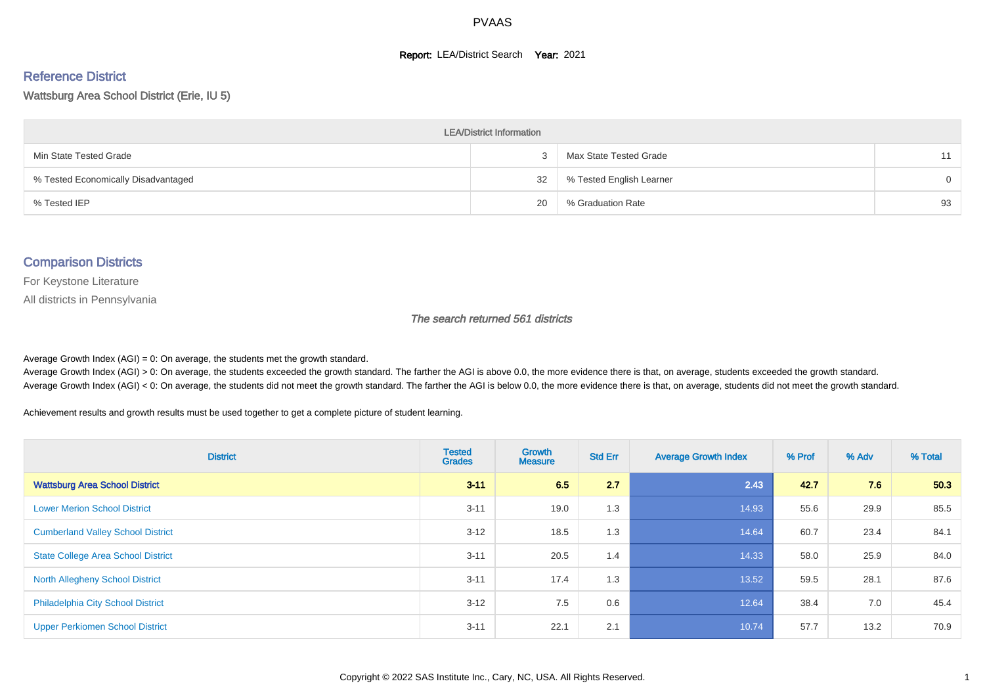#### **Report: LEA/District Search Year: 2021**

# Reference District

#### Wattsburg Area School District (Erie, IU 5)

| <b>LEA/District Information</b>     |    |                          |          |  |  |  |  |  |  |  |
|-------------------------------------|----|--------------------------|----------|--|--|--|--|--|--|--|
| Min State Tested Grade              |    | Max State Tested Grade   | 11       |  |  |  |  |  |  |  |
| % Tested Economically Disadvantaged | 32 | % Tested English Learner | $\Omega$ |  |  |  |  |  |  |  |
| % Tested IEP                        | 20 | % Graduation Rate        | 93       |  |  |  |  |  |  |  |

#### Comparison Districts

For Keystone Literature

All districts in Pennsylvania

The search returned 561 districts

Average Growth Index  $(AGI) = 0$ : On average, the students met the growth standard.

Average Growth Index (AGI) > 0: On average, the students exceeded the growth standard. The farther the AGI is above 0.0, the more evidence there is that, on average, students exceeded the growth standard. Average Growth Index (AGI) < 0: On average, the students did not meet the growth standard. The farther the AGI is below 0.0, the more evidence there is that, on average, students did not meet the growth standard.

Achievement results and growth results must be used together to get a complete picture of student learning.

| <b>District</b>                           | <b>Tested</b><br><b>Grades</b> | <b>Growth</b><br><b>Measure</b> | <b>Std Err</b> | <b>Average Growth Index</b> | % Prof | % Adv | % Total |
|-------------------------------------------|--------------------------------|---------------------------------|----------------|-----------------------------|--------|-------|---------|
| <b>Wattsburg Area School District</b>     | $3 - 11$                       | 6.5                             | 2.7            | 2.43                        | 42.7   | 7.6   | 50.3    |
| <b>Lower Merion School District</b>       | $3 - 11$                       | 19.0                            | 1.3            | 14.93                       | 55.6   | 29.9  | 85.5    |
| <b>Cumberland Valley School District</b>  | $3 - 12$                       | 18.5                            | 1.3            | 14.64                       | 60.7   | 23.4  | 84.1    |
| <b>State College Area School District</b> | $3 - 11$                       | 20.5                            | 1.4            | 14.33                       | 58.0   | 25.9  | 84.0    |
| <b>North Allegheny School District</b>    | $3 - 11$                       | 17.4                            | 1.3            | 13.52                       | 59.5   | 28.1  | 87.6    |
| <b>Philadelphia City School District</b>  | $3 - 12$                       | 7.5                             | 0.6            | 12.64                       | 38.4   | 7.0   | 45.4    |
| <b>Upper Perkiomen School District</b>    | $3 - 11$                       | 22.1                            | 2.1            | 10.74                       | 57.7   | 13.2  | 70.9    |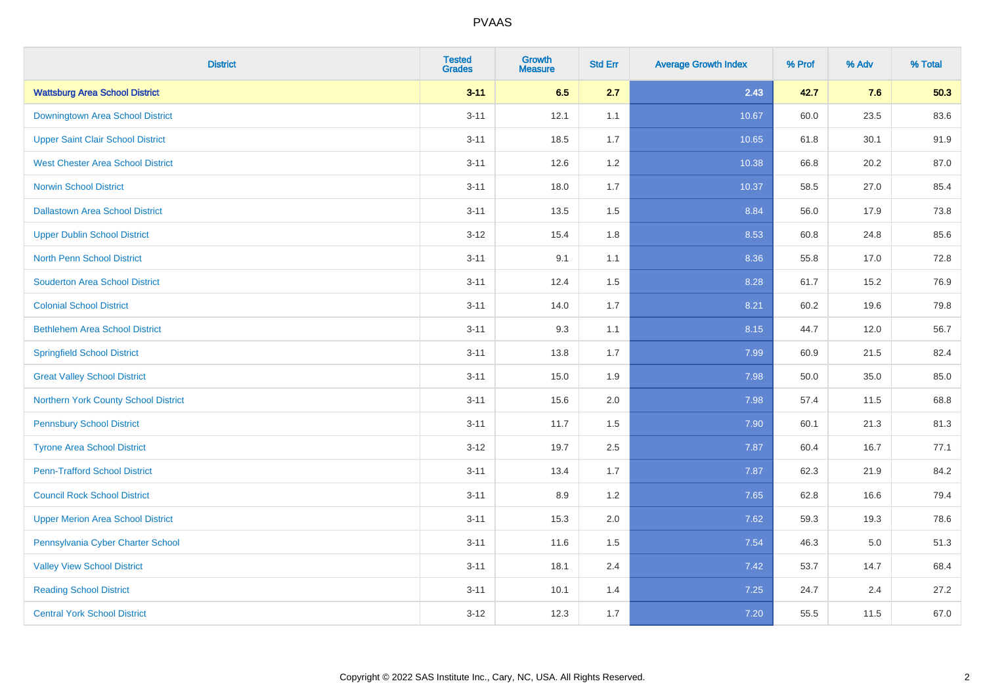| <b>District</b>                          | <b>Tested</b><br><b>Grades</b> | <b>Growth</b><br><b>Measure</b> | <b>Std Err</b> | <b>Average Growth Index</b> | % Prof | % Adv   | % Total |
|------------------------------------------|--------------------------------|---------------------------------|----------------|-----------------------------|--------|---------|---------|
| <b>Wattsburg Area School District</b>    | $3 - 11$                       | 6.5                             | 2.7            | 2.43                        | 42.7   | 7.6     | 50.3    |
| Downingtown Area School District         | $3 - 11$                       | 12.1                            | 1.1            | 10.67                       | 60.0   | 23.5    | 83.6    |
| <b>Upper Saint Clair School District</b> | $3 - 11$                       | 18.5                            | 1.7            | 10.65                       | 61.8   | 30.1    | 91.9    |
| <b>West Chester Area School District</b> | $3 - 11$                       | 12.6                            | 1.2            | 10.38                       | 66.8   | 20.2    | 87.0    |
| <b>Norwin School District</b>            | $3 - 11$                       | 18.0                            | 1.7            | 10.37                       | 58.5   | 27.0    | 85.4    |
| <b>Dallastown Area School District</b>   | $3 - 11$                       | 13.5                            | 1.5            | 8.84                        | 56.0   | 17.9    | 73.8    |
| <b>Upper Dublin School District</b>      | $3 - 12$                       | 15.4                            | 1.8            | 8.53                        | 60.8   | 24.8    | 85.6    |
| <b>North Penn School District</b>        | $3 - 11$                       | 9.1                             | 1.1            | 8.36                        | 55.8   | 17.0    | 72.8    |
| <b>Souderton Area School District</b>    | $3 - 11$                       | 12.4                            | 1.5            | 8.28                        | 61.7   | 15.2    | 76.9    |
| <b>Colonial School District</b>          | $3 - 11$                       | 14.0                            | 1.7            | 8.21                        | 60.2   | 19.6    | 79.8    |
| <b>Bethlehem Area School District</b>    | $3 - 11$                       | 9.3                             | 1.1            | 8.15                        | 44.7   | 12.0    | 56.7    |
| <b>Springfield School District</b>       | $3 - 11$                       | 13.8                            | 1.7            | 7.99                        | 60.9   | 21.5    | 82.4    |
| <b>Great Valley School District</b>      | $3 - 11$                       | 15.0                            | 1.9            | 7.98                        | 50.0   | 35.0    | 85.0    |
| Northern York County School District     | $3 - 11$                       | 15.6                            | 2.0            | 7.98                        | 57.4   | 11.5    | 68.8    |
| <b>Pennsbury School District</b>         | $3 - 11$                       | 11.7                            | 1.5            | 7.90                        | 60.1   | 21.3    | 81.3    |
| <b>Tyrone Area School District</b>       | $3 - 12$                       | 19.7                            | 2.5            | 7.87                        | 60.4   | 16.7    | 77.1    |
| <b>Penn-Trafford School District</b>     | $3 - 11$                       | 13.4                            | 1.7            | 7.87                        | 62.3   | 21.9    | 84.2    |
| <b>Council Rock School District</b>      | $3 - 11$                       | 8.9                             | 1.2            | 7.65                        | 62.8   | 16.6    | 79.4    |
| <b>Upper Merion Area School District</b> | $3 - 11$                       | 15.3                            | 2.0            | 7.62                        | 59.3   | 19.3    | 78.6    |
| Pennsylvania Cyber Charter School        | $3 - 11$                       | 11.6                            | 1.5            | 7.54                        | 46.3   | $5.0\,$ | 51.3    |
| <b>Valley View School District</b>       | $3 - 11$                       | 18.1                            | 2.4            | 7.42                        | 53.7   | 14.7    | 68.4    |
| <b>Reading School District</b>           | $3 - 11$                       | 10.1                            | 1.4            | 7.25                        | 24.7   | 2.4     | 27.2    |
| <b>Central York School District</b>      | $3 - 12$                       | 12.3                            | 1.7            | 7.20                        | 55.5   | 11.5    | 67.0    |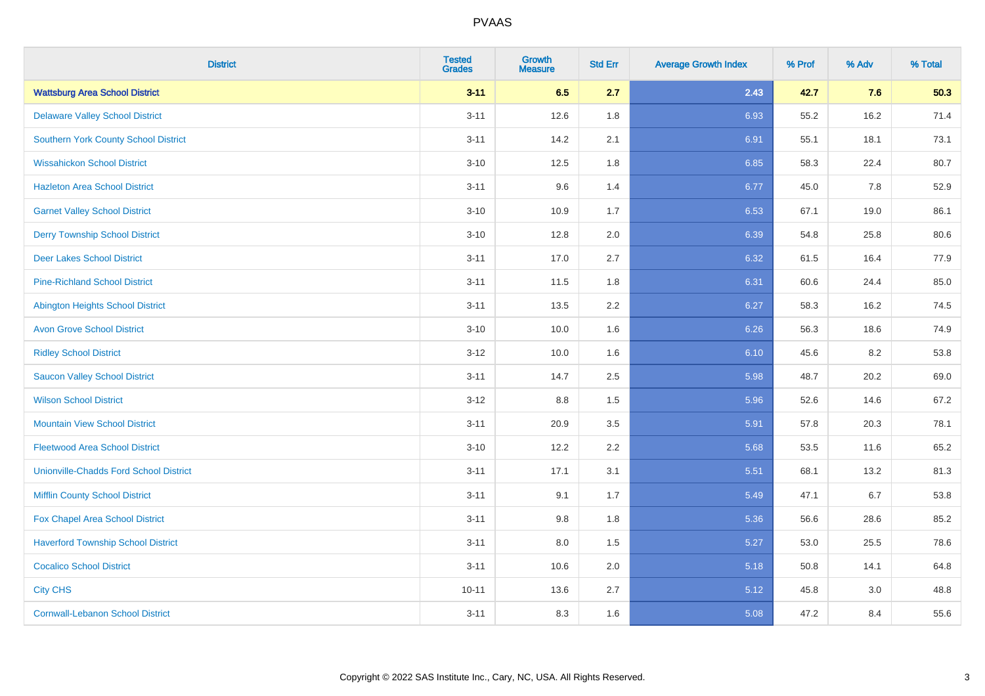| <b>District</b>                               | <b>Tested</b><br><b>Grades</b> | <b>Growth</b><br><b>Measure</b> | <b>Std Err</b> | <b>Average Growth Index</b> | % Prof | % Adv | % Total |
|-----------------------------------------------|--------------------------------|---------------------------------|----------------|-----------------------------|--------|-------|---------|
| <b>Wattsburg Area School District</b>         | $3 - 11$                       | 6.5                             | 2.7            | 2.43                        | 42.7   | 7.6   | 50.3    |
| <b>Delaware Valley School District</b>        | $3 - 11$                       | 12.6                            | 1.8            | 6.93                        | 55.2   | 16.2  | 71.4    |
| <b>Southern York County School District</b>   | $3 - 11$                       | 14.2                            | 2.1            | 6.91                        | 55.1   | 18.1  | 73.1    |
| <b>Wissahickon School District</b>            | $3 - 10$                       | 12.5                            | 1.8            | 6.85                        | 58.3   | 22.4  | 80.7    |
| <b>Hazleton Area School District</b>          | $3 - 11$                       | 9.6                             | 1.4            | 6.77                        | 45.0   | 7.8   | 52.9    |
| <b>Garnet Valley School District</b>          | $3 - 10$                       | 10.9                            | 1.7            | 6.53                        | 67.1   | 19.0  | 86.1    |
| <b>Derry Township School District</b>         | $3 - 10$                       | 12.8                            | 2.0            | 6.39                        | 54.8   | 25.8  | 80.6    |
| <b>Deer Lakes School District</b>             | $3 - 11$                       | 17.0                            | 2.7            | 6.32                        | 61.5   | 16.4  | 77.9    |
| <b>Pine-Richland School District</b>          | $3 - 11$                       | 11.5                            | 1.8            | 6.31                        | 60.6   | 24.4  | 85.0    |
| Abington Heights School District              | $3 - 11$                       | 13.5                            | 2.2            | 6.27                        | 58.3   | 16.2  | 74.5    |
| <b>Avon Grove School District</b>             | $3 - 10$                       | 10.0                            | 1.6            | 6.26                        | 56.3   | 18.6  | 74.9    |
| <b>Ridley School District</b>                 | $3 - 12$                       | 10.0                            | 1.6            | 6.10                        | 45.6   | 8.2   | 53.8    |
| <b>Saucon Valley School District</b>          | $3 - 11$                       | 14.7                            | 2.5            | 5.98                        | 48.7   | 20.2  | 69.0    |
| <b>Wilson School District</b>                 | $3 - 12$                       | $8.8\,$                         | 1.5            | 5.96                        | 52.6   | 14.6  | 67.2    |
| <b>Mountain View School District</b>          | $3 - 11$                       | 20.9                            | 3.5            | 5.91                        | 57.8   | 20.3  | 78.1    |
| <b>Fleetwood Area School District</b>         | $3 - 10$                       | 12.2                            | 2.2            | 5.68                        | 53.5   | 11.6  | 65.2    |
| <b>Unionville-Chadds Ford School District</b> | $3 - 11$                       | 17.1                            | 3.1            | 5.51                        | 68.1   | 13.2  | 81.3    |
| <b>Mifflin County School District</b>         | $3 - 11$                       | 9.1                             | 1.7            | 5.49                        | 47.1   | 6.7   | 53.8    |
| Fox Chapel Area School District               | $3 - 11$                       | 9.8                             | 1.8            | 5.36                        | 56.6   | 28.6  | 85.2    |
| <b>Haverford Township School District</b>     | $3 - 11$                       | 8.0                             | 1.5            | 5.27                        | 53.0   | 25.5  | 78.6    |
| <b>Cocalico School District</b>               | $3 - 11$                       | 10.6                            | 2.0            | 5.18                        | 50.8   | 14.1  | 64.8    |
| <b>City CHS</b>                               | $10 - 11$                      | 13.6                            | 2.7            | 5.12                        | 45.8   | 3.0   | 48.8    |
| <b>Cornwall-Lebanon School District</b>       | $3 - 11$                       | 8.3                             | 1.6            | 5.08                        | 47.2   | 8.4   | 55.6    |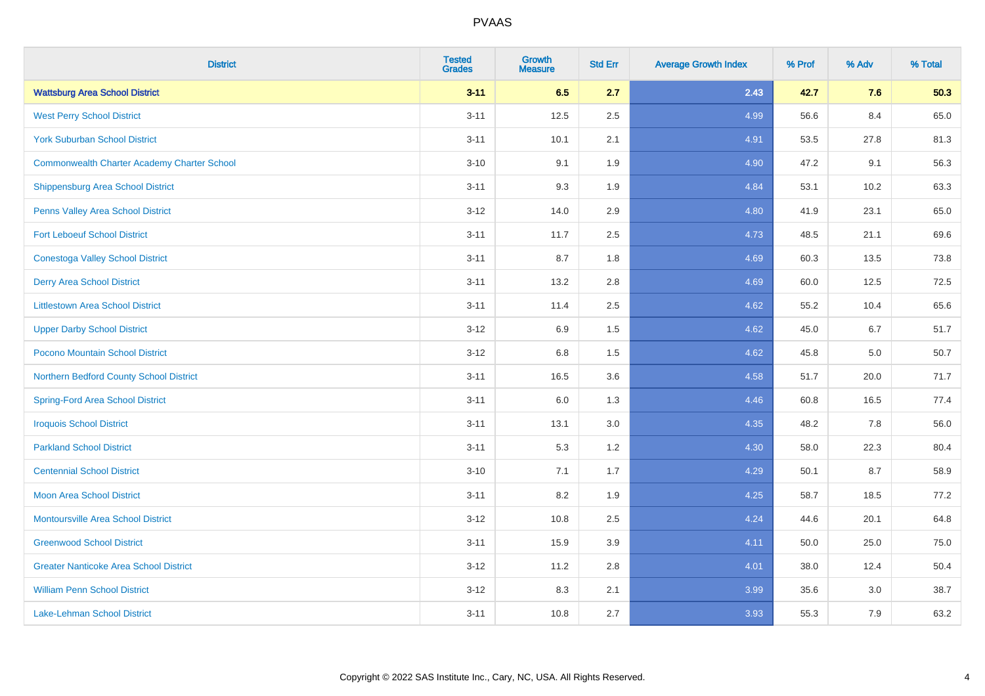| <b>District</b>                                    | <b>Tested</b><br><b>Grades</b> | Growth<br><b>Measure</b> | <b>Std Err</b> | <b>Average Growth Index</b> | % Prof | % Adv | % Total |
|----------------------------------------------------|--------------------------------|--------------------------|----------------|-----------------------------|--------|-------|---------|
| <b>Wattsburg Area School District</b>              | $3 - 11$                       | 6.5                      | 2.7            | 2.43                        | 42.7   | 7.6   | 50.3    |
| <b>West Perry School District</b>                  | $3 - 11$                       | 12.5                     | 2.5            | 4.99                        | 56.6   | 8.4   | 65.0    |
| <b>York Suburban School District</b>               | $3 - 11$                       | 10.1                     | 2.1            | 4.91                        | 53.5   | 27.8  | 81.3    |
| <b>Commonwealth Charter Academy Charter School</b> | $3 - 10$                       | 9.1                      | 1.9            | 4.90                        | 47.2   | 9.1   | 56.3    |
| Shippensburg Area School District                  | $3 - 11$                       | 9.3                      | 1.9            | 4.84                        | 53.1   | 10.2  | 63.3    |
| Penns Valley Area School District                  | $3-12$                         | 14.0                     | 2.9            | 4.80                        | 41.9   | 23.1  | 65.0    |
| <b>Fort Leboeuf School District</b>                | $3 - 11$                       | 11.7                     | 2.5            | 4.73                        | 48.5   | 21.1  | 69.6    |
| <b>Conestoga Valley School District</b>            | $3 - 11$                       | 8.7                      | 1.8            | 4.69                        | 60.3   | 13.5  | 73.8    |
| <b>Derry Area School District</b>                  | $3 - 11$                       | 13.2                     | 2.8            | 4.69                        | 60.0   | 12.5  | 72.5    |
| <b>Littlestown Area School District</b>            | $3 - 11$                       | 11.4                     | $2.5\,$        | 4.62                        | 55.2   | 10.4  | 65.6    |
| <b>Upper Darby School District</b>                 | $3 - 12$                       | 6.9                      | 1.5            | 4.62                        | 45.0   | 6.7   | 51.7    |
| Pocono Mountain School District                    | $3 - 12$                       | $6.8\,$                  | 1.5            | 4.62                        | 45.8   | 5.0   | 50.7    |
| Northern Bedford County School District            | $3 - 11$                       | 16.5                     | 3.6            | 4.58                        | 51.7   | 20.0  | 71.7    |
| <b>Spring-Ford Area School District</b>            | $3 - 11$                       | 6.0                      | 1.3            | 4.46                        | 60.8   | 16.5  | 77.4    |
| <b>Iroquois School District</b>                    | $3 - 11$                       | 13.1                     | 3.0            | 4.35                        | 48.2   | 7.8   | 56.0    |
| <b>Parkland School District</b>                    | $3 - 11$                       | 5.3                      | 1.2            | 4.30                        | 58.0   | 22.3  | 80.4    |
| <b>Centennial School District</b>                  | $3 - 10$                       | 7.1                      | 1.7            | 4.29                        | 50.1   | 8.7   | 58.9    |
| <b>Moon Area School District</b>                   | $3 - 11$                       | 8.2                      | 1.9            | 4.25                        | 58.7   | 18.5  | 77.2    |
| <b>Montoursville Area School District</b>          | $3 - 12$                       | 10.8                     | 2.5            | 4.24                        | 44.6   | 20.1  | 64.8    |
| <b>Greenwood School District</b>                   | $3 - 11$                       | 15.9                     | 3.9            | 4.11                        | 50.0   | 25.0  | 75.0    |
| <b>Greater Nanticoke Area School District</b>      | $3 - 12$                       | 11.2                     | 2.8            | 4.01                        | 38.0   | 12.4  | 50.4    |
| <b>William Penn School District</b>                | $3 - 12$                       | 8.3                      | 2.1            | 3.99                        | 35.6   | 3.0   | 38.7    |
| Lake-Lehman School District                        | $3 - 11$                       | 10.8                     | 2.7            | 3.93                        | 55.3   | 7.9   | 63.2    |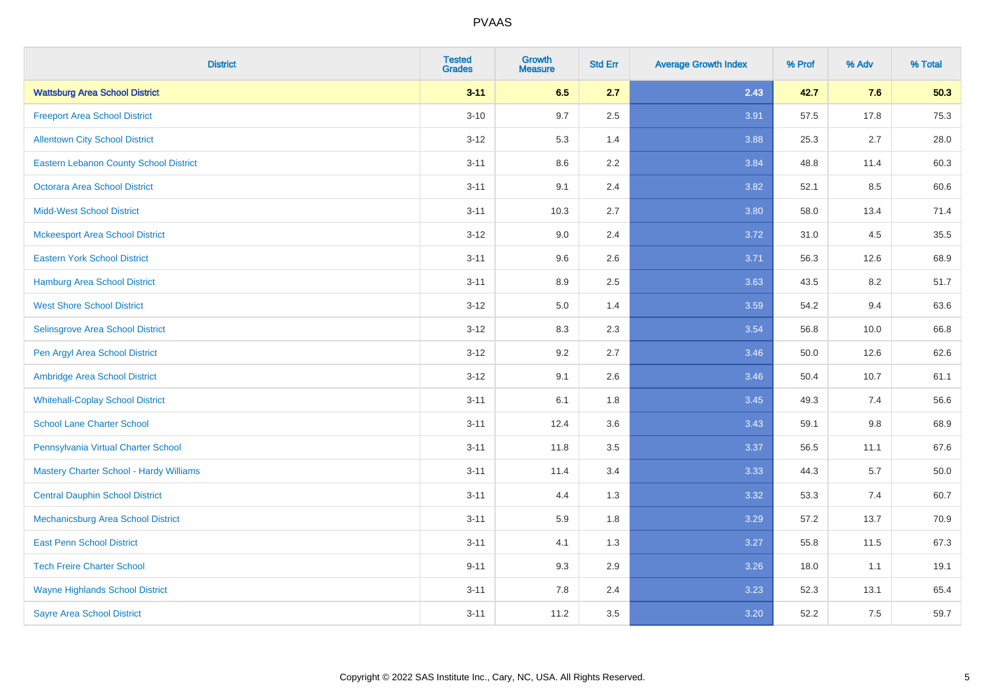| <b>District</b>                               | <b>Tested</b><br><b>Grades</b> | <b>Growth</b><br><b>Measure</b> | <b>Std Err</b> | <b>Average Growth Index</b> | % Prof | % Adv | % Total |
|-----------------------------------------------|--------------------------------|---------------------------------|----------------|-----------------------------|--------|-------|---------|
| <b>Wattsburg Area School District</b>         | $3 - 11$                       | 6.5                             | 2.7            | 2.43                        | 42.7   | 7.6   | 50.3    |
| <b>Freeport Area School District</b>          | $3 - 10$                       | 9.7                             | 2.5            | 3.91                        | 57.5   | 17.8  | 75.3    |
| <b>Allentown City School District</b>         | $3 - 12$                       | 5.3                             | 1.4            | 3.88                        | 25.3   | 2.7   | 28.0    |
| <b>Eastern Lebanon County School District</b> | $3 - 11$                       | 8.6                             | 2.2            | 3.84                        | 48.8   | 11.4  | 60.3    |
| <b>Octorara Area School District</b>          | $3 - 11$                       | 9.1                             | 2.4            | 3.82                        | 52.1   | 8.5   | 60.6    |
| <b>Midd-West School District</b>              | $3 - 11$                       | 10.3                            | 2.7            | 3.80                        | 58.0   | 13.4  | 71.4    |
| <b>Mckeesport Area School District</b>        | $3 - 12$                       | 9.0                             | 2.4            | 3.72                        | 31.0   | 4.5   | 35.5    |
| <b>Eastern York School District</b>           | $3 - 11$                       | 9.6                             | 2.6            | 3.71                        | 56.3   | 12.6  | 68.9    |
| <b>Hamburg Area School District</b>           | $3 - 11$                       | 8.9                             | 2.5            | 3.63                        | 43.5   | 8.2   | 51.7    |
| <b>West Shore School District</b>             | $3-12$                         | 5.0                             | 1.4            | 3.59                        | 54.2   | 9.4   | 63.6    |
| Selinsgrove Area School District              | $3-12$                         | 8.3                             | 2.3            | 3.54                        | 56.8   | 10.0  | 66.8    |
| Pen Argyl Area School District                | $3 - 12$                       | 9.2                             | 2.7            | 3.46                        | 50.0   | 12.6  | 62.6    |
| Ambridge Area School District                 | $3 - 12$                       | 9.1                             | 2.6            | 3.46                        | 50.4   | 10.7  | 61.1    |
| <b>Whitehall-Coplay School District</b>       | $3 - 11$                       | 6.1                             | 1.8            | 3.45                        | 49.3   | 7.4   | 56.6    |
| <b>School Lane Charter School</b>             | $3 - 11$                       | 12.4                            | 3.6            | 3.43                        | 59.1   | 9.8   | 68.9    |
| Pennsylvania Virtual Charter School           | $3 - 11$                       | 11.8                            | 3.5            | 3.37                        | 56.5   | 11.1  | 67.6    |
| Mastery Charter School - Hardy Williams       | $3 - 11$                       | 11.4                            | 3.4            | 3.33                        | 44.3   | 5.7   | 50.0    |
| <b>Central Dauphin School District</b>        | $3 - 11$                       | 4.4                             | 1.3            | 3.32                        | 53.3   | 7.4   | 60.7    |
| Mechanicsburg Area School District            | $3 - 11$                       | 5.9                             | 1.8            | 3.29                        | 57.2   | 13.7  | 70.9    |
| <b>East Penn School District</b>              | $3 - 11$                       | 4.1                             | 1.3            | 3.27                        | 55.8   | 11.5  | 67.3    |
| <b>Tech Freire Charter School</b>             | $9 - 11$                       | 9.3                             | 2.9            | 3.26                        | 18.0   | 1.1   | 19.1    |
| <b>Wayne Highlands School District</b>        | $3 - 11$                       | 7.8                             | 2.4            | 3.23                        | 52.3   | 13.1  | 65.4    |
| <b>Sayre Area School District</b>             | $3 - 11$                       | 11.2                            | 3.5            | 3.20                        | 52.2   | 7.5   | 59.7    |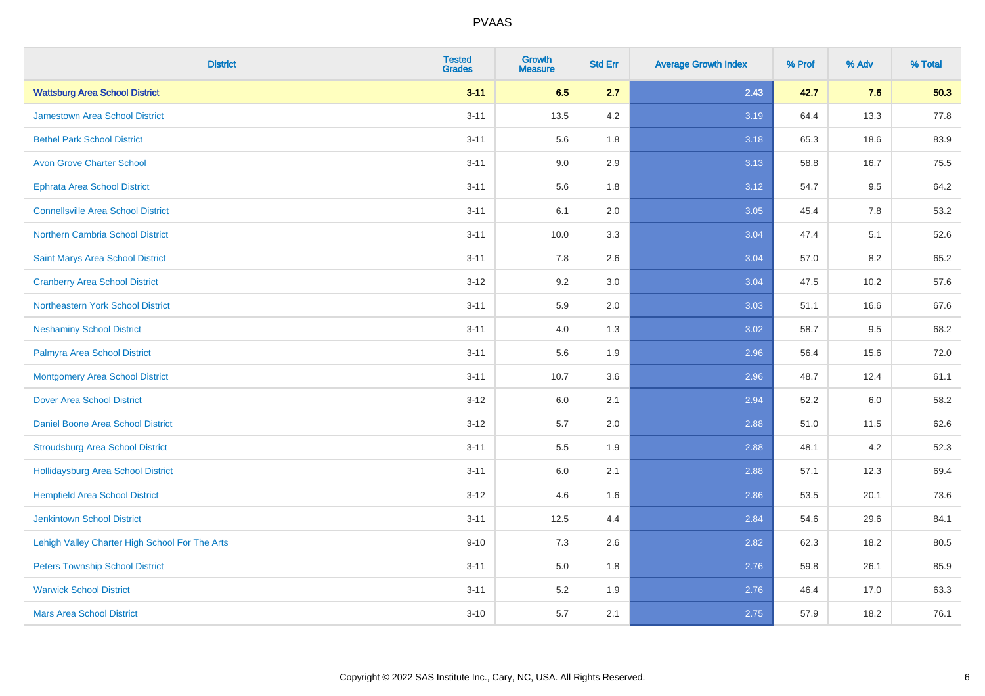| <b>District</b>                                | <b>Tested</b><br><b>Grades</b> | <b>Growth</b><br><b>Measure</b> | <b>Std Err</b> | <b>Average Growth Index</b> | % Prof | % Adv | % Total |
|------------------------------------------------|--------------------------------|---------------------------------|----------------|-----------------------------|--------|-------|---------|
| <b>Wattsburg Area School District</b>          | $3 - 11$                       | 6.5                             | 2.7            | 2.43                        | 42.7   | 7.6   | 50.3    |
| <b>Jamestown Area School District</b>          | $3 - 11$                       | 13.5                            | 4.2            | 3.19                        | 64.4   | 13.3  | 77.8    |
| <b>Bethel Park School District</b>             | $3 - 11$                       | 5.6                             | 1.8            | 3.18                        | 65.3   | 18.6  | 83.9    |
| <b>Avon Grove Charter School</b>               | $3 - 11$                       | 9.0                             | 2.9            | 3.13                        | 58.8   | 16.7  | 75.5    |
| <b>Ephrata Area School District</b>            | $3 - 11$                       | 5.6                             | 1.8            | 3.12                        | 54.7   | 9.5   | 64.2    |
| <b>Connellsville Area School District</b>      | $3 - 11$                       | 6.1                             | 2.0            | 3.05                        | 45.4   | 7.8   | 53.2    |
| Northern Cambria School District               | $3 - 11$                       | 10.0                            | 3.3            | 3.04                        | 47.4   | 5.1   | 52.6    |
| Saint Marys Area School District               | $3 - 11$                       | 7.8                             | 2.6            | 3.04                        | 57.0   | 8.2   | 65.2    |
| <b>Cranberry Area School District</b>          | $3 - 12$                       | 9.2                             | 3.0            | 3.04                        | 47.5   | 10.2  | 57.6    |
| Northeastern York School District              | $3 - 11$                       | 5.9                             | 2.0            | 3.03                        | 51.1   | 16.6  | 67.6    |
| <b>Neshaminy School District</b>               | $3 - 11$                       | 4.0                             | 1.3            | 3.02                        | 58.7   | 9.5   | 68.2    |
| Palmyra Area School District                   | $3 - 11$                       | 5.6                             | 1.9            | 2.96                        | 56.4   | 15.6  | 72.0    |
| <b>Montgomery Area School District</b>         | $3 - 11$                       | 10.7                            | 3.6            | 2.96                        | 48.7   | 12.4  | 61.1    |
| <b>Dover Area School District</b>              | $3-12$                         | 6.0                             | 2.1            | 2.94                        | 52.2   | 6.0   | 58.2    |
| <b>Daniel Boone Area School District</b>       | $3 - 12$                       | 5.7                             | 2.0            | 2.88                        | 51.0   | 11.5  | 62.6    |
| <b>Stroudsburg Area School District</b>        | $3 - 11$                       | 5.5                             | 1.9            | 2.88                        | 48.1   | 4.2   | 52.3    |
| Hollidaysburg Area School District             | $3 - 11$                       | 6.0                             | 2.1            | 2.88                        | 57.1   | 12.3  | 69.4    |
| <b>Hempfield Area School District</b>          | $3 - 12$                       | 4.6                             | 1.6            | 2.86                        | 53.5   | 20.1  | 73.6    |
| <b>Jenkintown School District</b>              | $3 - 11$                       | 12.5                            | 4.4            | 2.84                        | 54.6   | 29.6  | 84.1    |
| Lehigh Valley Charter High School For The Arts | $9 - 10$                       | 7.3                             | 2.6            | 2.82                        | 62.3   | 18.2  | 80.5    |
| <b>Peters Township School District</b>         | $3 - 11$                       | 5.0                             | 1.8            | 2.76                        | 59.8   | 26.1  | 85.9    |
| <b>Warwick School District</b>                 | $3 - 11$                       | 5.2                             | 1.9            | 2.76                        | 46.4   | 17.0  | 63.3    |
| <b>Mars Area School District</b>               | $3 - 10$                       | 5.7                             | 2.1            | 2.75                        | 57.9   | 18.2  | 76.1    |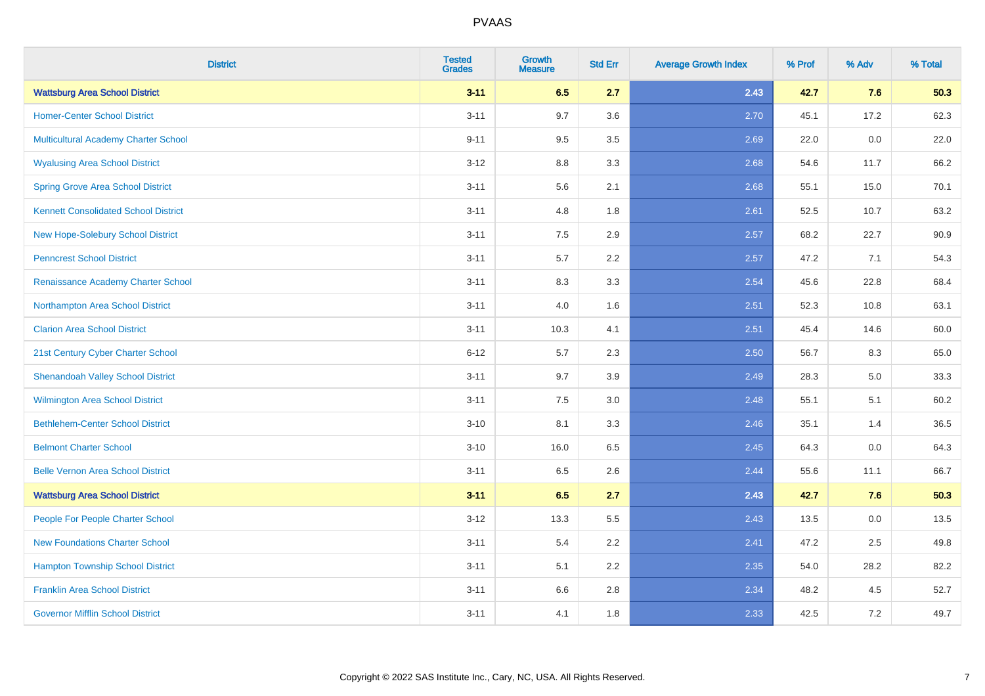| <b>District</b>                             | <b>Tested</b><br><b>Grades</b> | <b>Growth</b><br><b>Measure</b> | <b>Std Err</b> | <b>Average Growth Index</b> | % Prof | % Adv | % Total |
|---------------------------------------------|--------------------------------|---------------------------------|----------------|-----------------------------|--------|-------|---------|
| <b>Wattsburg Area School District</b>       | $3 - 11$                       | 6.5                             | 2.7            | 2.43                        | 42.7   | 7.6   | 50.3    |
| <b>Homer-Center School District</b>         | $3 - 11$                       | 9.7                             | 3.6            | 2.70                        | 45.1   | 17.2  | 62.3    |
| Multicultural Academy Charter School        | $9 - 11$                       | 9.5                             | 3.5            | 2.69                        | 22.0   | 0.0   | 22.0    |
| <b>Wyalusing Area School District</b>       | $3-12$                         | 8.8                             | 3.3            | 2.68                        | 54.6   | 11.7  | 66.2    |
| <b>Spring Grove Area School District</b>    | $3 - 11$                       | 5.6                             | 2.1            | 2.68                        | 55.1   | 15.0  | 70.1    |
| <b>Kennett Consolidated School District</b> | $3 - 11$                       | 4.8                             | 1.8            | 2.61                        | 52.5   | 10.7  | 63.2    |
| New Hope-Solebury School District           | $3 - 11$                       | 7.5                             | 2.9            | 2.57                        | 68.2   | 22.7  | 90.9    |
| <b>Penncrest School District</b>            | $3 - 11$                       | 5.7                             | 2.2            | 2.57                        | 47.2   | 7.1   | 54.3    |
| Renaissance Academy Charter School          | $3 - 11$                       | 8.3                             | 3.3            | 2.54                        | 45.6   | 22.8  | 68.4    |
| Northampton Area School District            | $3 - 11$                       | 4.0                             | 1.6            | 2.51                        | 52.3   | 10.8  | 63.1    |
| <b>Clarion Area School District</b>         | $3 - 11$                       | 10.3                            | 4.1            | 2.51                        | 45.4   | 14.6  | 60.0    |
| 21st Century Cyber Charter School           | $6 - 12$                       | $5.7\,$                         | 2.3            | 2.50                        | 56.7   | 8.3   | 65.0    |
| <b>Shenandoah Valley School District</b>    | $3 - 11$                       | 9.7                             | 3.9            | 2.49                        | 28.3   | 5.0   | 33.3    |
| Wilmington Area School District             | $3 - 11$                       | 7.5                             | 3.0            | 2.48                        | 55.1   | 5.1   | 60.2    |
| <b>Bethlehem-Center School District</b>     | $3 - 10$                       | 8.1                             | 3.3            | 2.46                        | 35.1   | 1.4   | 36.5    |
| <b>Belmont Charter School</b>               | $3 - 10$                       | 16.0                            | 6.5            | 2.45                        | 64.3   | 0.0   | 64.3    |
| <b>Belle Vernon Area School District</b>    | $3 - 11$                       | 6.5                             | 2.6            | 2.44                        | 55.6   | 11.1  | 66.7    |
| <b>Wattsburg Area School District</b>       | $3 - 11$                       | 6.5                             | 2.7            | 2.43                        | 42.7   | 7.6   | 50.3    |
| People For People Charter School            | $3 - 12$                       | 13.3                            | 5.5            | 2.43                        | 13.5   | 0.0   | 13.5    |
| <b>New Foundations Charter School</b>       | $3 - 11$                       | 5.4                             | 2.2            | 2.41                        | 47.2   | 2.5   | 49.8    |
| <b>Hampton Township School District</b>     | $3 - 11$                       | 5.1                             | 2.2            | 2.35                        | 54.0   | 28.2  | 82.2    |
| <b>Franklin Area School District</b>        | $3 - 11$                       | 6.6                             | 2.8            | 2.34                        | 48.2   | 4.5   | 52.7    |
| <b>Governor Mifflin School District</b>     | $3 - 11$                       | 4.1                             | 1.8            | 2.33                        | 42.5   | 7.2   | 49.7    |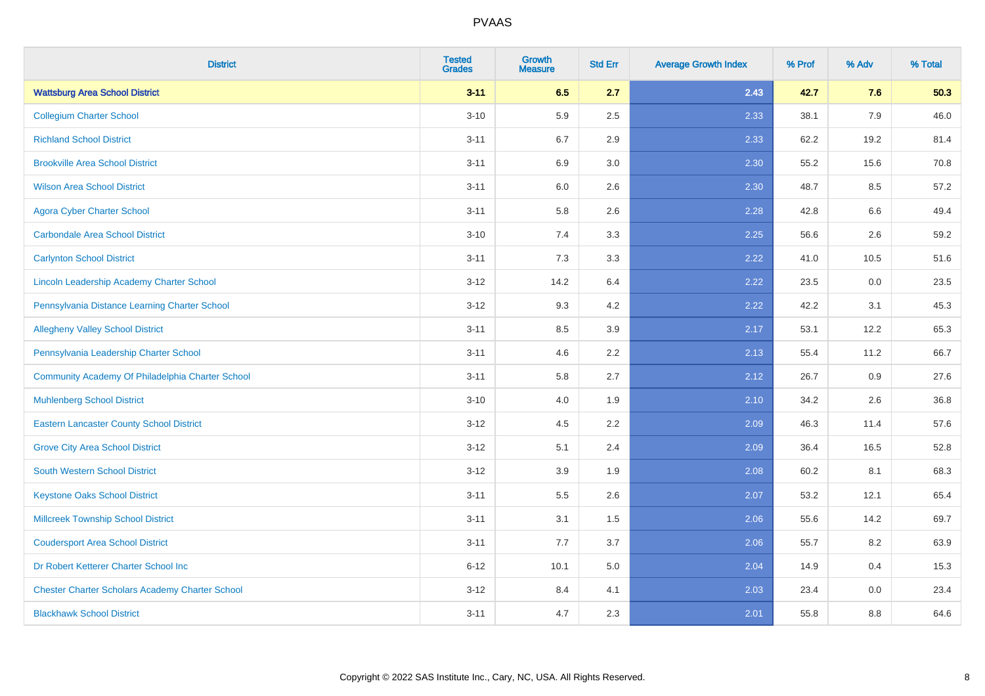| <b>District</b>                                        | <b>Tested</b><br><b>Grades</b> | <b>Growth</b><br><b>Measure</b> | <b>Std Err</b> | <b>Average Growth Index</b> | % Prof | % Adv | % Total |
|--------------------------------------------------------|--------------------------------|---------------------------------|----------------|-----------------------------|--------|-------|---------|
| <b>Wattsburg Area School District</b>                  | $3 - 11$                       | 6.5                             | 2.7            | 2.43                        | 42.7   | 7.6   | 50.3    |
| <b>Collegium Charter School</b>                        | $3 - 10$                       | 5.9                             | 2.5            | 2.33                        | 38.1   | 7.9   | 46.0    |
| <b>Richland School District</b>                        | $3 - 11$                       | 6.7                             | 2.9            | 2.33                        | 62.2   | 19.2  | 81.4    |
| <b>Brookville Area School District</b>                 | $3 - 11$                       | 6.9                             | 3.0            | 2.30                        | 55.2   | 15.6  | 70.8    |
| <b>Wilson Area School District</b>                     | $3 - 11$                       | 6.0                             | 2.6            | 2.30                        | 48.7   | 8.5   | 57.2    |
| <b>Agora Cyber Charter School</b>                      | $3 - 11$                       | 5.8                             | 2.6            | 2.28                        | 42.8   | 6.6   | 49.4    |
| <b>Carbondale Area School District</b>                 | $3 - 10$                       | 7.4                             | 3.3            | 2.25                        | 56.6   | 2.6   | 59.2    |
| <b>Carlynton School District</b>                       | $3 - 11$                       | 7.3                             | 3.3            | 2.22                        | 41.0   | 10.5  | 51.6    |
| Lincoln Leadership Academy Charter School              | $3 - 12$                       | 14.2                            | 6.4            | 2.22                        | 23.5   | 0.0   | 23.5    |
| Pennsylvania Distance Learning Charter School          | $3 - 12$                       | 9.3                             | 4.2            | 2.22                        | 42.2   | 3.1   | 45.3    |
| <b>Allegheny Valley School District</b>                | $3 - 11$                       | 8.5                             | 3.9            | 2.17                        | 53.1   | 12.2  | 65.3    |
| Pennsylvania Leadership Charter School                 | $3 - 11$                       | 4.6                             | 2.2            | 2.13                        | 55.4   | 11.2  | 66.7    |
| Community Academy Of Philadelphia Charter School       | $3 - 11$                       | 5.8                             | 2.7            | 2.12                        | 26.7   | 0.9   | 27.6    |
| <b>Muhlenberg School District</b>                      | $3 - 10$                       | 4.0                             | 1.9            | 2.10                        | 34.2   | 2.6   | 36.8    |
| <b>Eastern Lancaster County School District</b>        | $3 - 12$                       | 4.5                             | 2.2            | 2.09                        | 46.3   | 11.4  | 57.6    |
| <b>Grove City Area School District</b>                 | $3 - 12$                       | 5.1                             | 2.4            | 2.09                        | 36.4   | 16.5  | 52.8    |
| <b>South Western School District</b>                   | $3 - 12$                       | 3.9                             | 1.9            | 2.08                        | 60.2   | 8.1   | 68.3    |
| <b>Keystone Oaks School District</b>                   | $3 - 11$                       | 5.5                             | 2.6            | 2.07                        | 53.2   | 12.1  | 65.4    |
| <b>Millcreek Township School District</b>              | $3 - 11$                       | 3.1                             | 1.5            | 2.06                        | 55.6   | 14.2  | 69.7    |
| <b>Coudersport Area School District</b>                | $3 - 11$                       | 7.7                             | 3.7            | 2.06                        | 55.7   | 8.2   | 63.9    |
| Dr Robert Ketterer Charter School Inc                  | $6 - 12$                       | 10.1                            | 5.0            | 2.04                        | 14.9   | 0.4   | 15.3    |
| <b>Chester Charter Scholars Academy Charter School</b> | $3 - 12$                       | 8.4                             | 4.1            | 2.03                        | 23.4   | 0.0   | 23.4    |
| <b>Blackhawk School District</b>                       | $3 - 11$                       | 4.7                             | 2.3            | 2.01                        | 55.8   | 8.8   | 64.6    |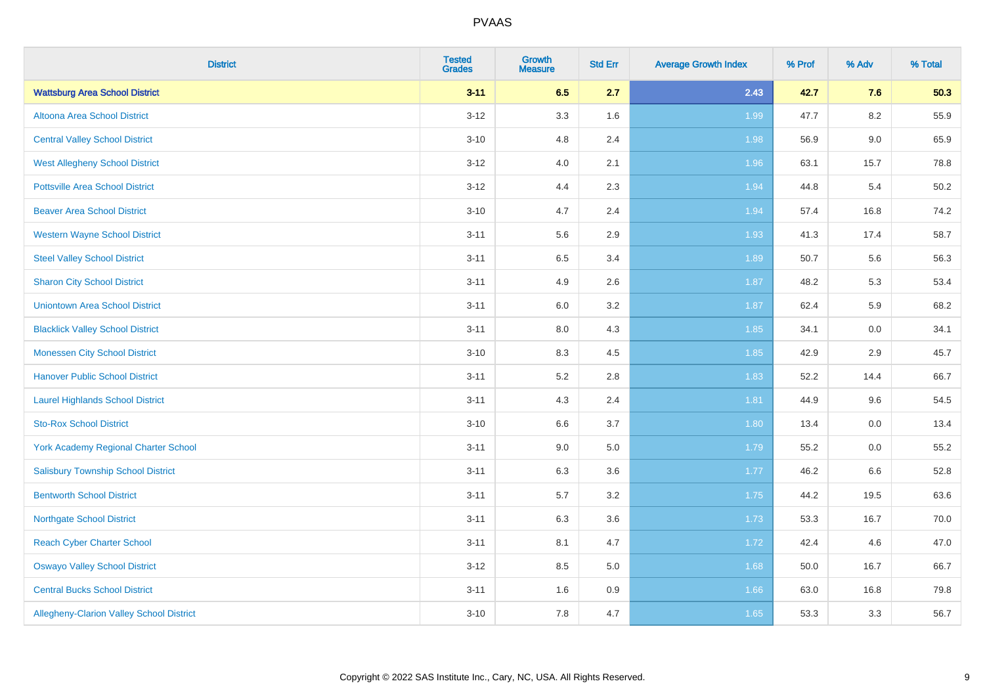| <b>District</b>                                 | <b>Tested</b><br><b>Grades</b> | <b>Growth</b><br><b>Measure</b> | <b>Std Err</b> | <b>Average Growth Index</b> | % Prof | % Adv   | % Total |
|-------------------------------------------------|--------------------------------|---------------------------------|----------------|-----------------------------|--------|---------|---------|
| <b>Wattsburg Area School District</b>           | $3 - 11$                       | 6.5                             | 2.7            | 2.43                        | 42.7   | 7.6     | 50.3    |
| Altoona Area School District                    | $3 - 12$                       | 3.3                             | 1.6            | 1.99                        | 47.7   | $8.2\,$ | 55.9    |
| <b>Central Valley School District</b>           | $3 - 10$                       | 4.8                             | 2.4            | 1.98                        | 56.9   | $9.0\,$ | 65.9    |
| <b>West Allegheny School District</b>           | $3 - 12$                       | 4.0                             | 2.1            | 1.96                        | 63.1   | 15.7    | 78.8    |
| <b>Pottsville Area School District</b>          | $3 - 12$                       | 4.4                             | 2.3            | 1.94                        | 44.8   | 5.4     | 50.2    |
| <b>Beaver Area School District</b>              | $3 - 10$                       | 4.7                             | 2.4            | 1.94                        | 57.4   | 16.8    | 74.2    |
| <b>Western Wayne School District</b>            | $3 - 11$                       | 5.6                             | 2.9            | 1.93                        | 41.3   | 17.4    | 58.7    |
| <b>Steel Valley School District</b>             | $3 - 11$                       | 6.5                             | 3.4            | 1.89                        | 50.7   | 5.6     | 56.3    |
| <b>Sharon City School District</b>              | $3 - 11$                       | 4.9                             | 2.6            | 1.87                        | 48.2   | 5.3     | 53.4    |
| <b>Uniontown Area School District</b>           | $3 - 11$                       | 6.0                             | 3.2            | 1.87                        | 62.4   | 5.9     | 68.2    |
| <b>Blacklick Valley School District</b>         | $3 - 11$                       | 8.0                             | 4.3            | 1.85                        | 34.1   | 0.0     | 34.1    |
| <b>Monessen City School District</b>            | $3 - 10$                       | 8.3                             | 4.5            | 1.85                        | 42.9   | 2.9     | 45.7    |
| <b>Hanover Public School District</b>           | $3 - 11$                       | 5.2                             | 2.8            | 1.83                        | 52.2   | 14.4    | 66.7    |
| <b>Laurel Highlands School District</b>         | $3 - 11$                       | 4.3                             | 2.4            | 1.81                        | 44.9   | 9.6     | 54.5    |
| <b>Sto-Rox School District</b>                  | $3 - 10$                       | 6.6                             | 3.7            | 1.80                        | 13.4   | 0.0     | 13.4    |
| <b>York Academy Regional Charter School</b>     | $3 - 11$                       | 9.0                             | 5.0            | 1.79                        | 55.2   | $0.0\,$ | 55.2    |
| <b>Salisbury Township School District</b>       | $3 - 11$                       | 6.3                             | 3.6            | $1.77$                      | 46.2   | 6.6     | 52.8    |
| <b>Bentworth School District</b>                | $3 - 11$                       | 5.7                             | 3.2            | 1.75                        | 44.2   | 19.5    | 63.6    |
| <b>Northgate School District</b>                | $3 - 11$                       | 6.3                             | 3.6            | 1.73                        | 53.3   | 16.7    | 70.0    |
| <b>Reach Cyber Charter School</b>               | $3 - 11$                       | 8.1                             | 4.7            | 1.72                        | 42.4   | 4.6     | 47.0    |
| <b>Oswayo Valley School District</b>            | $3 - 12$                       | 8.5                             | 5.0            | 1.68                        | 50.0   | 16.7    | 66.7    |
| <b>Central Bucks School District</b>            | $3 - 11$                       | 1.6                             | 0.9            | 1.66                        | 63.0   | 16.8    | 79.8    |
| <b>Allegheny-Clarion Valley School District</b> | $3 - 10$                       | 7.8                             | 4.7            | 1.65                        | 53.3   | 3.3     | 56.7    |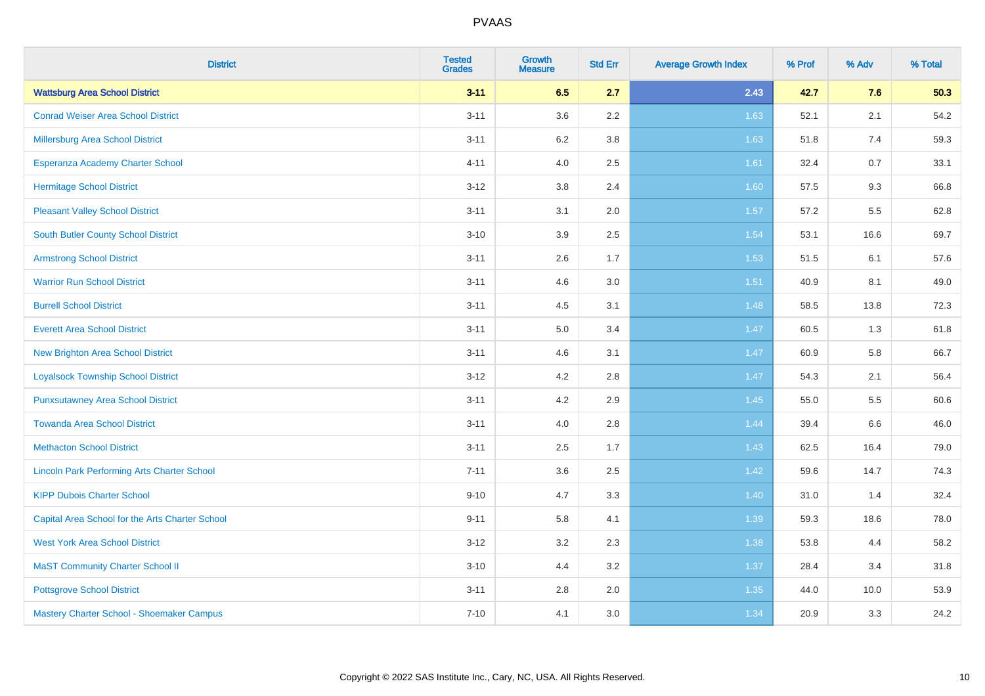| <b>District</b>                                    | <b>Tested</b><br><b>Grades</b> | <b>Growth</b><br><b>Measure</b> | <b>Std Err</b> | <b>Average Growth Index</b> | % Prof | % Adv | % Total |
|----------------------------------------------------|--------------------------------|---------------------------------|----------------|-----------------------------|--------|-------|---------|
| <b>Wattsburg Area School District</b>              | $3 - 11$                       | 6.5                             | 2.7            | 2.43                        | 42.7   | 7.6   | 50.3    |
| <b>Conrad Weiser Area School District</b>          | $3 - 11$                       | 3.6                             | $2.2\,$        | 1.63                        | 52.1   | 2.1   | 54.2    |
| <b>Millersburg Area School District</b>            | $3 - 11$                       | 6.2                             | 3.8            | 1.63                        | 51.8   | 7.4   | 59.3    |
| Esperanza Academy Charter School                   | $4 - 11$                       | 4.0                             | 2.5            | 1.61                        | 32.4   | 0.7   | 33.1    |
| <b>Hermitage School District</b>                   | $3 - 12$                       | 3.8                             | 2.4            | 1.60                        | 57.5   | 9.3   | 66.8    |
| <b>Pleasant Valley School District</b>             | $3 - 11$                       | 3.1                             | 2.0            | 1.57                        | 57.2   | 5.5   | 62.8    |
| South Butler County School District                | $3 - 10$                       | 3.9                             | 2.5            | 1.54                        | 53.1   | 16.6  | 69.7    |
| <b>Armstrong School District</b>                   | $3 - 11$                       | 2.6                             | 1.7            | 1.53                        | 51.5   | 6.1   | 57.6    |
| <b>Warrior Run School District</b>                 | $3 - 11$                       | 4.6                             | 3.0            | 1.51                        | 40.9   | 8.1   | 49.0    |
| <b>Burrell School District</b>                     | $3 - 11$                       | 4.5                             | 3.1            | 1.48                        | 58.5   | 13.8  | 72.3    |
| <b>Everett Area School District</b>                | $3 - 11$                       | 5.0                             | 3.4            | 1.47                        | 60.5   | 1.3   | 61.8    |
| <b>New Brighton Area School District</b>           | $3 - 11$                       | 4.6                             | 3.1            | 1.47                        | 60.9   | 5.8   | 66.7    |
| <b>Loyalsock Township School District</b>          | $3 - 12$                       | 4.2                             | $2.8\,$        | 1.47                        | 54.3   | 2.1   | 56.4    |
| <b>Punxsutawney Area School District</b>           | $3 - 11$                       | 4.2                             | 2.9            | 1.45                        | 55.0   | 5.5   | 60.6    |
| <b>Towanda Area School District</b>                | $3 - 11$                       | 4.0                             | 2.8            | 1.44                        | 39.4   | 6.6   | 46.0    |
| <b>Methacton School District</b>                   | $3 - 11$                       | 2.5                             | 1.7            | 1.43                        | 62.5   | 16.4  | 79.0    |
| <b>Lincoln Park Performing Arts Charter School</b> | $7 - 11$                       | 3.6                             | 2.5            | 1.42                        | 59.6   | 14.7  | 74.3    |
| <b>KIPP Dubois Charter School</b>                  | $9 - 10$                       | 4.7                             | 3.3            | 1.40                        | 31.0   | 1.4   | 32.4    |
| Capital Area School for the Arts Charter School    | $9 - 11$                       | 5.8                             | 4.1            | 1.39                        | 59.3   | 18.6  | 78.0    |
| <b>West York Area School District</b>              | $3 - 12$                       | 3.2                             | 2.3            | 1.38                        | 53.8   | 4.4   | 58.2    |
| <b>MaST Community Charter School II</b>            | $3 - 10$                       | 4.4                             | 3.2            | 1.37                        | 28.4   | 3.4   | 31.8    |
| <b>Pottsgrove School District</b>                  | $3 - 11$                       | 2.8                             | 2.0            | 1.35                        | 44.0   | 10.0  | 53.9    |
| Mastery Charter School - Shoemaker Campus          | $7 - 10$                       | 4.1                             | 3.0            | 1.34                        | 20.9   | 3.3   | 24.2    |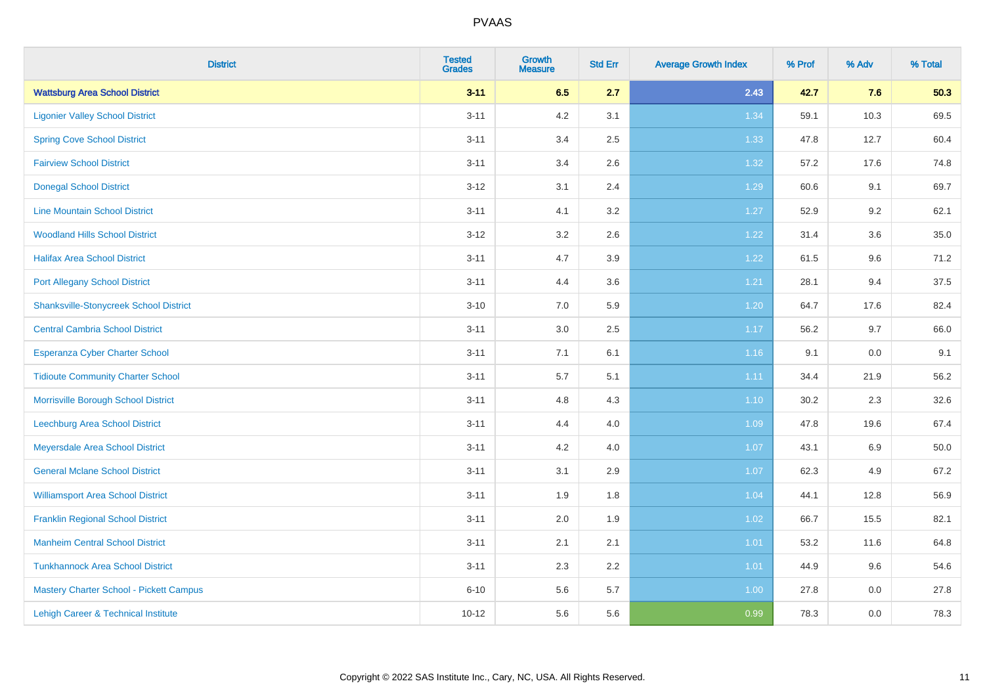| <b>District</b>                               | <b>Tested</b><br><b>Grades</b> | <b>Growth</b><br><b>Measure</b> | <b>Std Err</b> | <b>Average Growth Index</b> | % Prof | % Adv | % Total |
|-----------------------------------------------|--------------------------------|---------------------------------|----------------|-----------------------------|--------|-------|---------|
| <b>Wattsburg Area School District</b>         | $3 - 11$                       | 6.5                             | 2.7            | 2.43                        | 42.7   | 7.6   | 50.3    |
| <b>Ligonier Valley School District</b>        | $3 - 11$                       | $4.2\,$                         | 3.1            | 1.34                        | 59.1   | 10.3  | 69.5    |
| <b>Spring Cove School District</b>            | $3 - 11$                       | 3.4                             | 2.5            | 1.33                        | 47.8   | 12.7  | 60.4    |
| <b>Fairview School District</b>               | $3 - 11$                       | 3.4                             | 2.6            | 1.32                        | 57.2   | 17.6  | 74.8    |
| <b>Donegal School District</b>                | $3 - 12$                       | 3.1                             | 2.4            | 1.29                        | 60.6   | 9.1   | 69.7    |
| <b>Line Mountain School District</b>          | $3 - 11$                       | 4.1                             | 3.2            | 1.27                        | 52.9   | 9.2   | 62.1    |
| <b>Woodland Hills School District</b>         | $3 - 12$                       | 3.2                             | 2.6            | 1.22                        | 31.4   | 3.6   | 35.0    |
| <b>Halifax Area School District</b>           | $3 - 11$                       | 4.7                             | 3.9            | 1.22                        | 61.5   | 9.6   | 71.2    |
| <b>Port Allegany School District</b>          | $3 - 11$                       | 4.4                             | 3.6            | 1.21                        | 28.1   | 9.4   | 37.5    |
| <b>Shanksville-Stonycreek School District</b> | $3 - 10$                       | 7.0                             | 5.9            | 1.20                        | 64.7   | 17.6  | 82.4    |
| <b>Central Cambria School District</b>        | $3 - 11$                       | 3.0                             | 2.5            | 1.17                        | 56.2   | 9.7   | 66.0    |
| Esperanza Cyber Charter School                | $3 - 11$                       | 7.1                             | 6.1            | 1.16                        | 9.1    | 0.0   | 9.1     |
| <b>Tidioute Community Charter School</b>      | $3 - 11$                       | 5.7                             | 5.1            | 1.11                        | 34.4   | 21.9  | 56.2    |
| Morrisville Borough School District           | $3 - 11$                       | 4.8                             | 4.3            | $1.10$                      | 30.2   | 2.3   | 32.6    |
| <b>Leechburg Area School District</b>         | $3 - 11$                       | 4.4                             | 4.0            | 1.09                        | 47.8   | 19.6  | 67.4    |
| Meyersdale Area School District               | $3 - 11$                       | 4.2                             | 4.0            | 1.07                        | 43.1   | 6.9   | 50.0    |
| <b>General Mclane School District</b>         | $3 - 11$                       | 3.1                             | 2.9            | 1.07                        | 62.3   | 4.9   | 67.2    |
| <b>Williamsport Area School District</b>      | $3 - 11$                       | 1.9                             | 1.8            | 1.04                        | 44.1   | 12.8  | 56.9    |
| <b>Franklin Regional School District</b>      | $3 - 11$                       | 2.0                             | 1.9            | 1.02                        | 66.7   | 15.5  | 82.1    |
| <b>Manheim Central School District</b>        | $3 - 11$                       | 2.1                             | 2.1            | $1.01$                      | 53.2   | 11.6  | 64.8    |
| <b>Tunkhannock Area School District</b>       | $3 - 11$                       | 2.3                             | 2.2            | 1.01                        | 44.9   | 9.6   | 54.6    |
| Mastery Charter School - Pickett Campus       | $6 - 10$                       | 5.6                             | 5.7            | 1.00                        | 27.8   | 0.0   | 27.8    |
| Lehigh Career & Technical Institute           | $10 - 12$                      | 5.6                             | 5.6            | 0.99                        | 78.3   | 0.0   | 78.3    |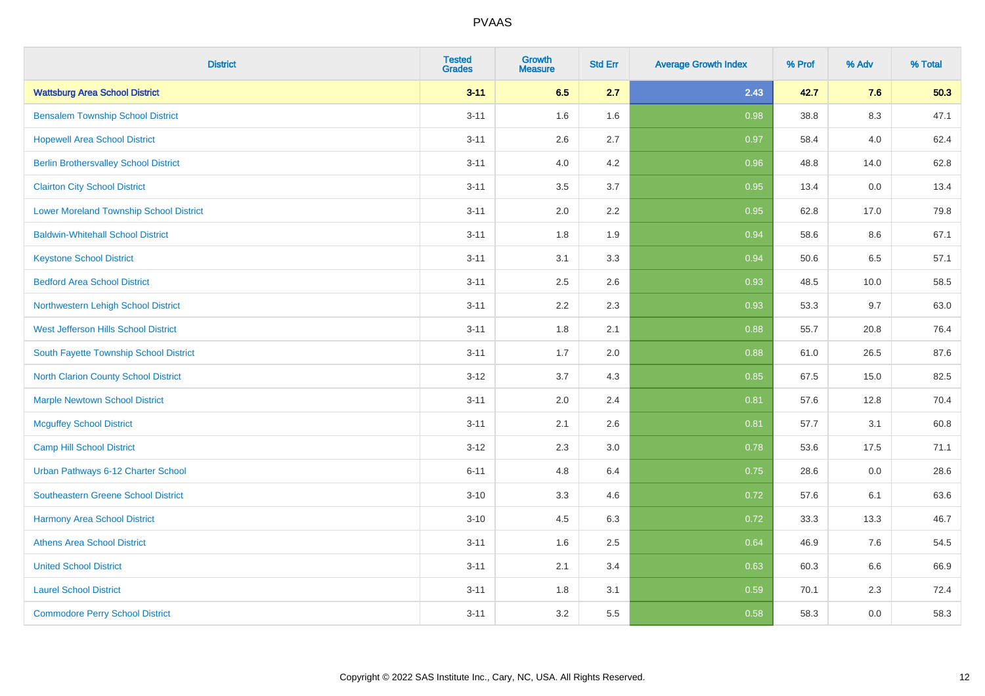| <b>District</b>                              | <b>Tested</b><br><b>Grades</b> | <b>Growth</b><br><b>Measure</b> | <b>Std Err</b> | <b>Average Growth Index</b> | % Prof | % Adv   | % Total |
|----------------------------------------------|--------------------------------|---------------------------------|----------------|-----------------------------|--------|---------|---------|
| <b>Wattsburg Area School District</b>        | $3 - 11$                       | 6.5                             | 2.7            | 2.43                        | 42.7   | 7.6     | 50.3    |
| <b>Bensalem Township School District</b>     | $3 - 11$                       | 1.6                             | 1.6            | 0.98                        | 38.8   | $8.3\,$ | 47.1    |
| <b>Hopewell Area School District</b>         | $3 - 11$                       | 2.6                             | 2.7            | 0.97                        | 58.4   | 4.0     | 62.4    |
| <b>Berlin Brothersvalley School District</b> | $3 - 11$                       | 4.0                             | 4.2            | 0.96                        | 48.8   | 14.0    | 62.8    |
| <b>Clairton City School District</b>         | $3 - 11$                       | 3.5                             | 3.7            | 0.95                        | 13.4   | 0.0     | 13.4    |
| Lower Moreland Township School District      | $3 - 11$                       | 2.0                             | 2.2            | 0.95                        | 62.8   | 17.0    | 79.8    |
| <b>Baldwin-Whitehall School District</b>     | $3 - 11$                       | 1.8                             | 1.9            | 0.94                        | 58.6   | 8.6     | 67.1    |
| <b>Keystone School District</b>              | $3 - 11$                       | 3.1                             | 3.3            | 0.94                        | 50.6   | 6.5     | 57.1    |
| <b>Bedford Area School District</b>          | $3 - 11$                       | 2.5                             | 2.6            | 0.93                        | 48.5   | 10.0    | 58.5    |
| Northwestern Lehigh School District          | $3 - 11$                       | 2.2                             | 2.3            | 0.93                        | 53.3   | 9.7     | 63.0    |
| West Jefferson Hills School District         | $3 - 11$                       | 1.8                             | 2.1            | 0.88                        | 55.7   | 20.8    | 76.4    |
| South Fayette Township School District       | $3 - 11$                       | 1.7                             | 2.0            | 0.88                        | 61.0   | 26.5    | 87.6    |
| <b>North Clarion County School District</b>  | $3-12$                         | 3.7                             | 4.3            | 0.85                        | 67.5   | 15.0    | 82.5    |
| <b>Marple Newtown School District</b>        | $3 - 11$                       | 2.0                             | 2.4            | 0.81                        | 57.6   | 12.8    | 70.4    |
| <b>Mcguffey School District</b>              | $3 - 11$                       | 2.1                             | 2.6            | 0.81                        | 57.7   | 3.1     | 60.8    |
| Camp Hill School District                    | $3-12$                         | 2.3                             | 3.0            | 0.78                        | 53.6   | 17.5    | 71.1    |
| Urban Pathways 6-12 Charter School           | $6 - 11$                       | 4.8                             | 6.4            | 0.75                        | 28.6   | 0.0     | 28.6    |
| Southeastern Greene School District          | $3 - 10$                       | 3.3                             | 4.6            | 0.72                        | 57.6   | 6.1     | 63.6    |
| <b>Harmony Area School District</b>          | $3 - 10$                       | 4.5                             | 6.3            | 0.72                        | 33.3   | 13.3    | 46.7    |
| <b>Athens Area School District</b>           | $3 - 11$                       | 1.6                             | 2.5            | 0.64                        | 46.9   | 7.6     | 54.5    |
| <b>United School District</b>                | $3 - 11$                       | 2.1                             | 3.4            | 0.63                        | 60.3   | 6.6     | 66.9    |
| <b>Laurel School District</b>                | $3 - 11$                       | 1.8                             | 3.1            | 0.59                        | 70.1   | 2.3     | 72.4    |
| <b>Commodore Perry School District</b>       | $3 - 11$                       | 3.2                             | 5.5            | 0.58                        | 58.3   | 0.0     | 58.3    |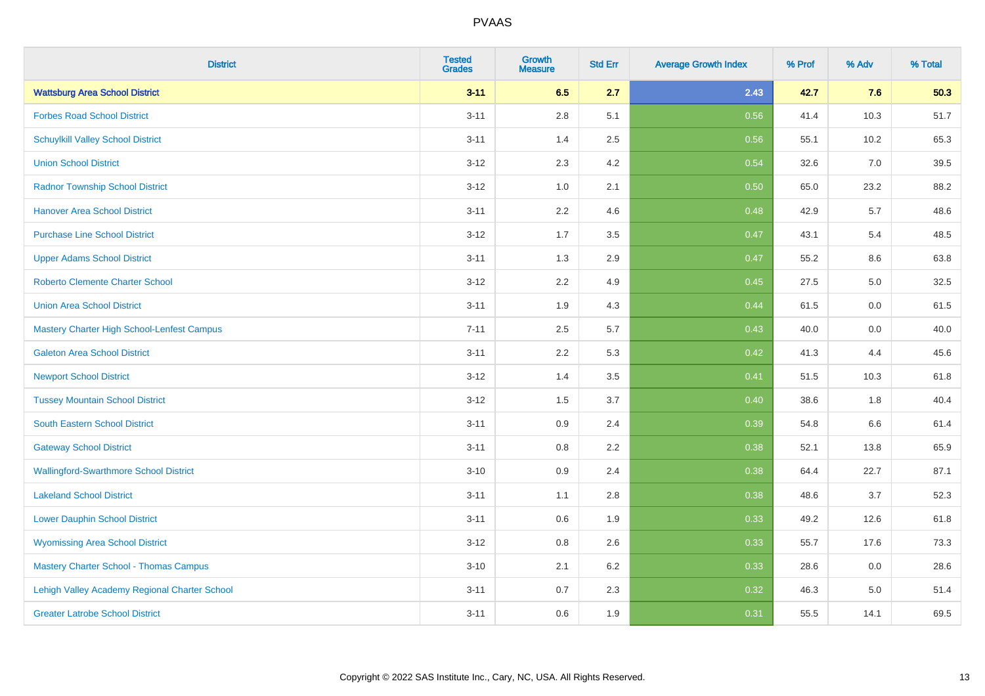| <b>District</b>                               | <b>Tested</b><br><b>Grades</b> | <b>Growth</b><br><b>Measure</b> | <b>Std Err</b> | <b>Average Growth Index</b> | % Prof | % Adv | % Total |
|-----------------------------------------------|--------------------------------|---------------------------------|----------------|-----------------------------|--------|-------|---------|
| <b>Wattsburg Area School District</b>         | $3 - 11$                       | 6.5                             | 2.7            | 2.43                        | 42.7   | 7.6   | 50.3    |
| <b>Forbes Road School District</b>            | $3 - 11$                       | $2.8\,$                         | 5.1            | 0.56                        | 41.4   | 10.3  | 51.7    |
| <b>Schuylkill Valley School District</b>      | $3 - 11$                       | 1.4                             | 2.5            | 0.56                        | 55.1   | 10.2  | 65.3    |
| <b>Union School District</b>                  | $3 - 12$                       | 2.3                             | 4.2            | 0.54                        | 32.6   | 7.0   | 39.5    |
| <b>Radnor Township School District</b>        | $3 - 12$                       | 1.0                             | 2.1            | 0.50                        | 65.0   | 23.2  | 88.2    |
| <b>Hanover Area School District</b>           | $3 - 11$                       | 2.2                             | 4.6            | 0.48                        | 42.9   | 5.7   | 48.6    |
| <b>Purchase Line School District</b>          | $3 - 12$                       | 1.7                             | 3.5            | 0.47                        | 43.1   | 5.4   | 48.5    |
| <b>Upper Adams School District</b>            | $3 - 11$                       | 1.3                             | 2.9            | 0.47                        | 55.2   | 8.6   | 63.8    |
| Roberto Clemente Charter School               | $3 - 12$                       | 2.2                             | 4.9            | 0.45                        | 27.5   | 5.0   | 32.5    |
| <b>Union Area School District</b>             | $3 - 11$                       | 1.9                             | 4.3            | 0.44                        | 61.5   | 0.0   | 61.5    |
| Mastery Charter High School-Lenfest Campus    | $7 - 11$                       | 2.5                             | 5.7            | 0.43                        | 40.0   | 0.0   | 40.0    |
| <b>Galeton Area School District</b>           | $3 - 11$                       | 2.2                             | 5.3            | 0.42                        | 41.3   | 4.4   | 45.6    |
| <b>Newport School District</b>                | $3 - 12$                       | 1.4                             | 3.5            | 0.41                        | 51.5   | 10.3  | 61.8    |
| <b>Tussey Mountain School District</b>        | $3 - 12$                       | 1.5                             | 3.7            | 0.40                        | 38.6   | 1.8   | 40.4    |
| South Eastern School District                 | $3 - 11$                       | 0.9                             | 2.4            | 0.39                        | 54.8   | 6.6   | 61.4    |
| <b>Gateway School District</b>                | $3 - 11$                       | 0.8                             | 2.2            | 0.38                        | 52.1   | 13.8  | 65.9    |
| <b>Wallingford-Swarthmore School District</b> | $3 - 10$                       | 0.9                             | 2.4            | 0.38                        | 64.4   | 22.7  | 87.1    |
| <b>Lakeland School District</b>               | $3 - 11$                       | 1.1                             | 2.8            | 0.38                        | 48.6   | 3.7   | 52.3    |
| <b>Lower Dauphin School District</b>          | $3 - 11$                       | 0.6                             | 1.9            | 0.33                        | 49.2   | 12.6  | 61.8    |
| <b>Wyomissing Area School District</b>        | $3 - 12$                       | $0.8\,$                         | 2.6            | 0.33                        | 55.7   | 17.6  | 73.3    |
| <b>Mastery Charter School - Thomas Campus</b> | $3 - 10$                       | 2.1                             | 6.2            | 0.33                        | 28.6   | 0.0   | 28.6    |
| Lehigh Valley Academy Regional Charter School | $3 - 11$                       | 0.7                             | 2.3            | 0.32                        | 46.3   | 5.0   | 51.4    |
| <b>Greater Latrobe School District</b>        | $3 - 11$                       | 0.6                             | 1.9            | 0.31                        | 55.5   | 14.1  | 69.5    |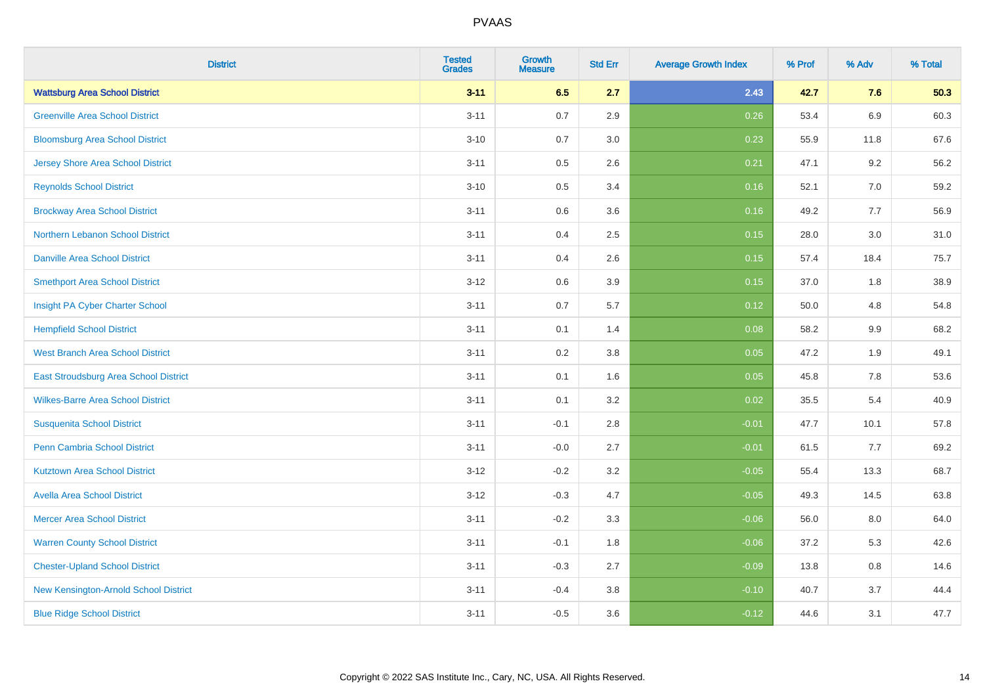| <b>District</b>                          | <b>Tested</b><br><b>Grades</b> | <b>Growth</b><br><b>Measure</b> | <b>Std Err</b> | <b>Average Growth Index</b> | % Prof | % Adv   | % Total |
|------------------------------------------|--------------------------------|---------------------------------|----------------|-----------------------------|--------|---------|---------|
| <b>Wattsburg Area School District</b>    | $3 - 11$                       | 6.5                             | 2.7            | 2.43                        | 42.7   | 7.6     | 50.3    |
| <b>Greenville Area School District</b>   | $3 - 11$                       | 0.7                             | 2.9            | 0.26                        | 53.4   | 6.9     | 60.3    |
| <b>Bloomsburg Area School District</b>   | $3 - 10$                       | 0.7                             | 3.0            | 0.23                        | 55.9   | 11.8    | 67.6    |
| <b>Jersey Shore Area School District</b> | $3 - 11$                       | 0.5                             | 2.6            | 0.21                        | 47.1   | 9.2     | 56.2    |
| <b>Reynolds School District</b>          | $3 - 10$                       | 0.5                             | 3.4            | 0.16                        | 52.1   | 7.0     | 59.2    |
| <b>Brockway Area School District</b>     | $3 - 11$                       | 0.6                             | 3.6            | 0.16                        | 49.2   | 7.7     | 56.9    |
| Northern Lebanon School District         | $3 - 11$                       | 0.4                             | 2.5            | 0.15                        | 28.0   | 3.0     | 31.0    |
| <b>Danville Area School District</b>     | $3 - 11$                       | 0.4                             | 2.6            | 0.15                        | 57.4   | 18.4    | 75.7    |
| <b>Smethport Area School District</b>    | $3 - 12$                       | 0.6                             | 3.9            | 0.15                        | 37.0   | 1.8     | 38.9    |
| Insight PA Cyber Charter School          | $3 - 11$                       | 0.7                             | 5.7            | 0.12                        | 50.0   | 4.8     | 54.8    |
| <b>Hempfield School District</b>         | $3 - 11$                       | 0.1                             | 1.4            | 0.08                        | 58.2   | 9.9     | 68.2    |
| <b>West Branch Area School District</b>  | $3 - 11$                       | 0.2                             | 3.8            | 0.05                        | 47.2   | 1.9     | 49.1    |
| East Stroudsburg Area School District    | $3 - 11$                       | 0.1                             | 1.6            | 0.05                        | 45.8   | $7.8\,$ | 53.6    |
| <b>Wilkes-Barre Area School District</b> | $3 - 11$                       | 0.1                             | 3.2            | 0.02                        | 35.5   | 5.4     | 40.9    |
| <b>Susquenita School District</b>        | $3 - 11$                       | $-0.1$                          | 2.8            | $-0.01$                     | 47.7   | 10.1    | 57.8    |
| <b>Penn Cambria School District</b>      | $3 - 11$                       | $-0.0$                          | 2.7            | $-0.01$                     | 61.5   | 7.7     | 69.2    |
| <b>Kutztown Area School District</b>     | $3 - 12$                       | $-0.2$                          | 3.2            | $-0.05$                     | 55.4   | 13.3    | 68.7    |
| <b>Avella Area School District</b>       | $3 - 12$                       | $-0.3$                          | 4.7            | $-0.05$                     | 49.3   | 14.5    | 63.8    |
| <b>Mercer Area School District</b>       | $3 - 11$                       | $-0.2$                          | 3.3            | $-0.06$                     | 56.0   | 8.0     | 64.0    |
| <b>Warren County School District</b>     | $3 - 11$                       | $-0.1$                          | 1.8            | $-0.06$                     | 37.2   | 5.3     | 42.6    |
| <b>Chester-Upland School District</b>    | $3 - 11$                       | $-0.3$                          | 2.7            | $-0.09$                     | 13.8   | 0.8     | 14.6    |
| New Kensington-Arnold School District    | $3 - 11$                       | $-0.4$                          | 3.8            | $-0.10$                     | 40.7   | 3.7     | 44.4    |
| <b>Blue Ridge School District</b>        | $3 - 11$                       | $-0.5$                          | 3.6            | $-0.12$                     | 44.6   | 3.1     | 47.7    |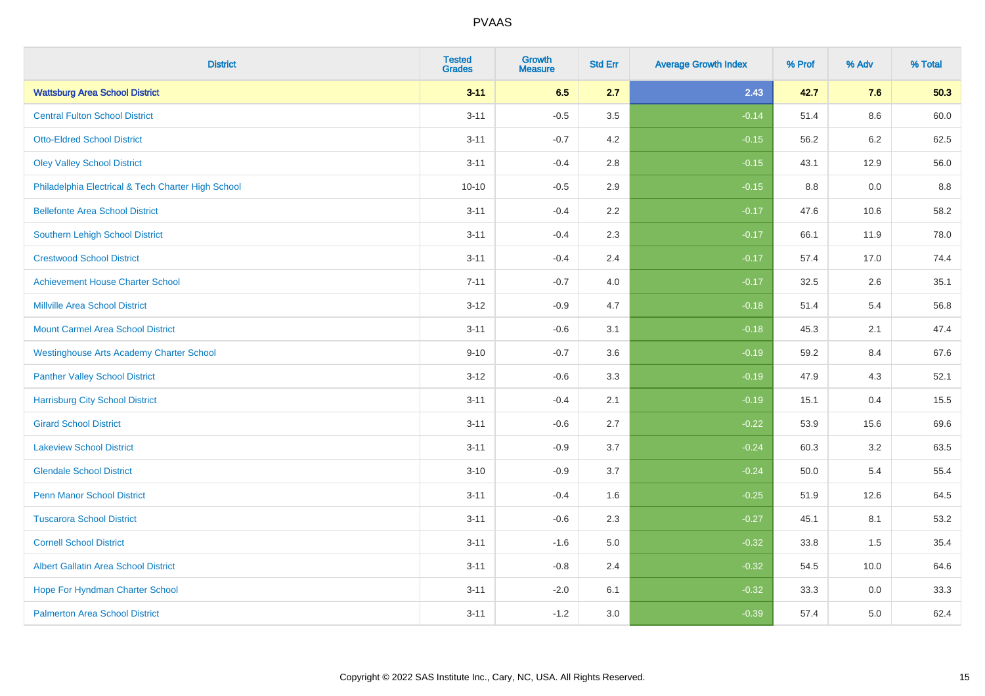| <b>District</b>                                    | <b>Tested</b><br><b>Grades</b> | <b>Growth</b><br><b>Measure</b> | <b>Std Err</b> | <b>Average Growth Index</b> | % Prof | % Adv   | % Total |
|----------------------------------------------------|--------------------------------|---------------------------------|----------------|-----------------------------|--------|---------|---------|
| <b>Wattsburg Area School District</b>              | $3 - 11$                       | 6.5                             | 2.7            | 2.43                        | 42.7   | 7.6     | 50.3    |
| <b>Central Fulton School District</b>              | $3 - 11$                       | $-0.5$                          | 3.5            | $-0.14$                     | 51.4   | $8.6\,$ | 60.0    |
| <b>Otto-Eldred School District</b>                 | $3 - 11$                       | $-0.7$                          | 4.2            | $-0.15$                     | 56.2   | 6.2     | 62.5    |
| <b>Oley Valley School District</b>                 | $3 - 11$                       | $-0.4$                          | 2.8            | $-0.15$                     | 43.1   | 12.9    | 56.0    |
| Philadelphia Electrical & Tech Charter High School | $10 - 10$                      | $-0.5$                          | 2.9            | $-0.15$                     | 8.8    | 0.0     | 8.8     |
| <b>Bellefonte Area School District</b>             | $3 - 11$                       | $-0.4$                          | 2.2            | $-0.17$                     | 47.6   | 10.6    | 58.2    |
| Southern Lehigh School District                    | $3 - 11$                       | $-0.4$                          | 2.3            | $-0.17$                     | 66.1   | 11.9    | 78.0    |
| <b>Crestwood School District</b>                   | $3 - 11$                       | $-0.4$                          | 2.4            | $-0.17$                     | 57.4   | 17.0    | 74.4    |
| <b>Achievement House Charter School</b>            | $7 - 11$                       | $-0.7$                          | 4.0            | $-0.17$                     | 32.5   | 2.6     | 35.1    |
| <b>Millville Area School District</b>              | $3 - 12$                       | $-0.9$                          | 4.7            | $-0.18$                     | 51.4   | 5.4     | 56.8    |
| <b>Mount Carmel Area School District</b>           | $3 - 11$                       | $-0.6$                          | 3.1            | $-0.18$                     | 45.3   | 2.1     | 47.4    |
| <b>Westinghouse Arts Academy Charter School</b>    | $9 - 10$                       | $-0.7$                          | 3.6            | $-0.19$                     | 59.2   | 8.4     | 67.6    |
| <b>Panther Valley School District</b>              | $3-12$                         | $-0.6$                          | 3.3            | $-0.19$                     | 47.9   | 4.3     | 52.1    |
| <b>Harrisburg City School District</b>             | $3 - 11$                       | $-0.4$                          | 2.1            | $-0.19$                     | 15.1   | 0.4     | 15.5    |
| <b>Girard School District</b>                      | $3 - 11$                       | $-0.6$                          | 2.7            | $-0.22$                     | 53.9   | 15.6    | 69.6    |
| <b>Lakeview School District</b>                    | $3 - 11$                       | $-0.9$                          | 3.7            | $-0.24$                     | 60.3   | 3.2     | 63.5    |
| <b>Glendale School District</b>                    | $3 - 10$                       | $-0.9$                          | 3.7            | $-0.24$                     | 50.0   | 5.4     | 55.4    |
| <b>Penn Manor School District</b>                  | $3 - 11$                       | $-0.4$                          | 1.6            | $-0.25$                     | 51.9   | 12.6    | 64.5    |
| <b>Tuscarora School District</b>                   | $3 - 11$                       | $-0.6$                          | 2.3            | $-0.27$                     | 45.1   | 8.1     | 53.2    |
| <b>Cornell School District</b>                     | $3 - 11$                       | $-1.6$                          | 5.0            | $-0.32$                     | 33.8   | 1.5     | 35.4    |
| <b>Albert Gallatin Area School District</b>        | $3 - 11$                       | $-0.8$                          | 2.4            | $-0.32$                     | 54.5   | 10.0    | 64.6    |
| Hope For Hyndman Charter School                    | $3 - 11$                       | $-2.0$                          | 6.1            | $-0.32$                     | 33.3   | 0.0     | 33.3    |
| <b>Palmerton Area School District</b>              | $3 - 11$                       | $-1.2$                          | 3.0            | $-0.39$                     | 57.4   | 5.0     | 62.4    |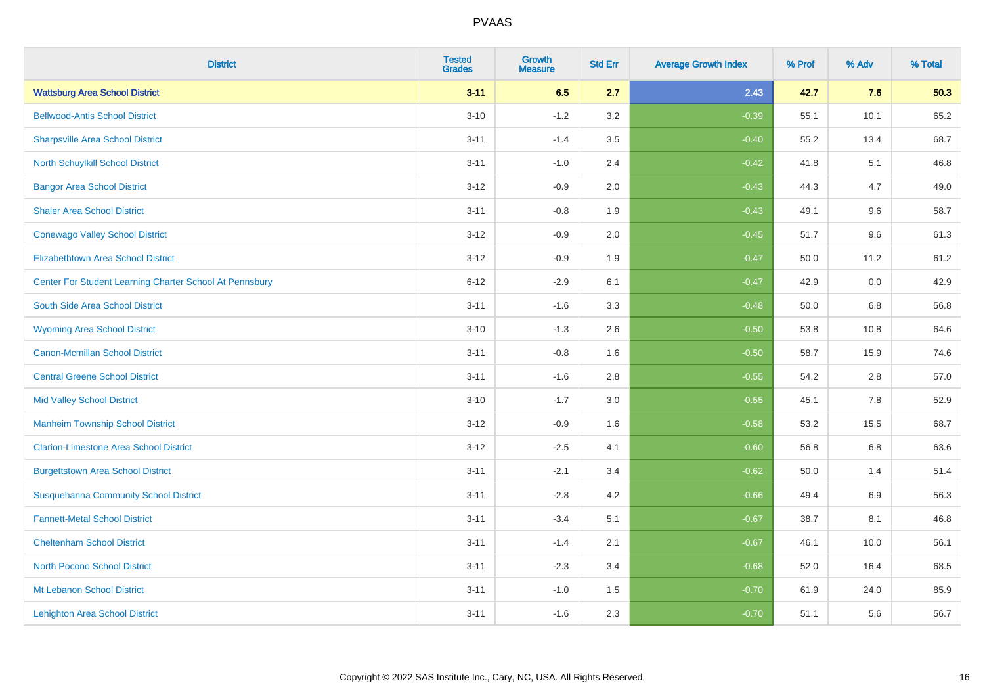| <b>District</b>                                         | <b>Tested</b><br><b>Grades</b> | <b>Growth</b><br><b>Measure</b> | <b>Std Err</b> | <b>Average Growth Index</b> | % Prof | % Adv   | % Total |
|---------------------------------------------------------|--------------------------------|---------------------------------|----------------|-----------------------------|--------|---------|---------|
| <b>Wattsburg Area School District</b>                   | $3 - 11$                       | 6.5                             | 2.7            | 2.43                        | 42.7   | 7.6     | 50.3    |
| <b>Bellwood-Antis School District</b>                   | $3 - 10$                       | $-1.2$                          | 3.2            | $-0.39$                     | 55.1   | 10.1    | 65.2    |
| <b>Sharpsville Area School District</b>                 | $3 - 11$                       | $-1.4$                          | 3.5            | $-0.40$                     | 55.2   | 13.4    | 68.7    |
| <b>North Schuylkill School District</b>                 | $3 - 11$                       | $-1.0$                          | 2.4            | $-0.42$                     | 41.8   | 5.1     | 46.8    |
| <b>Bangor Area School District</b>                      | $3 - 12$                       | $-0.9$                          | 2.0            | $-0.43$                     | 44.3   | 4.7     | 49.0    |
| <b>Shaler Area School District</b>                      | $3 - 11$                       | $-0.8$                          | 1.9            | $-0.43$                     | 49.1   | 9.6     | 58.7    |
| <b>Conewago Valley School District</b>                  | $3 - 12$                       | $-0.9$                          | 2.0            | $-0.45$                     | 51.7   | 9.6     | 61.3    |
| <b>Elizabethtown Area School District</b>               | $3 - 12$                       | $-0.9$                          | 1.9            | $-0.47$                     | 50.0   | 11.2    | 61.2    |
| Center For Student Learning Charter School At Pennsbury | $6 - 12$                       | $-2.9$                          | 6.1            | $-0.47$                     | 42.9   | 0.0     | 42.9    |
| South Side Area School District                         | $3 - 11$                       | $-1.6$                          | 3.3            | $-0.48$                     | 50.0   | 6.8     | 56.8    |
| <b>Wyoming Area School District</b>                     | $3 - 10$                       | $-1.3$                          | 2.6            | $-0.50$                     | 53.8   | 10.8    | 64.6    |
| <b>Canon-Mcmillan School District</b>                   | $3 - 11$                       | $-0.8$                          | 1.6            | $-0.50$                     | 58.7   | 15.9    | 74.6    |
| <b>Central Greene School District</b>                   | $3 - 11$                       | $-1.6$                          | 2.8            | $-0.55$                     | 54.2   | 2.8     | 57.0    |
| <b>Mid Valley School District</b>                       | $3 - 10$                       | $-1.7$                          | 3.0            | $-0.55$                     | 45.1   | 7.8     | 52.9    |
| <b>Manheim Township School District</b>                 | $3 - 12$                       | $-0.9$                          | 1.6            | $-0.58$                     | 53.2   | 15.5    | 68.7    |
| <b>Clarion-Limestone Area School District</b>           | $3 - 12$                       | $-2.5$                          | 4.1            | $-0.60$                     | 56.8   | $6.8\,$ | 63.6    |
| <b>Burgettstown Area School District</b>                | $3 - 11$                       | $-2.1$                          | 3.4            | $-0.62$                     | 50.0   | 1.4     | 51.4    |
| <b>Susquehanna Community School District</b>            | $3 - 11$                       | $-2.8$                          | 4.2            | $-0.66$                     | 49.4   | 6.9     | 56.3    |
| <b>Fannett-Metal School District</b>                    | $3 - 11$                       | $-3.4$                          | 5.1            | $-0.67$                     | 38.7   | 8.1     | 46.8    |
| <b>Cheltenham School District</b>                       | $3 - 11$                       | $-1.4$                          | 2.1            | $-0.67$                     | 46.1   | 10.0    | 56.1    |
| North Pocono School District                            | $3 - 11$                       | $-2.3$                          | 3.4            | $-0.68$                     | 52.0   | 16.4    | 68.5    |
| Mt Lebanon School District                              | $3 - 11$                       | $-1.0$                          | 1.5            | $-0.70$                     | 61.9   | 24.0    | 85.9    |
| <b>Lehighton Area School District</b>                   | $3 - 11$                       | $-1.6$                          | 2.3            | $-0.70$                     | 51.1   | 5.6     | 56.7    |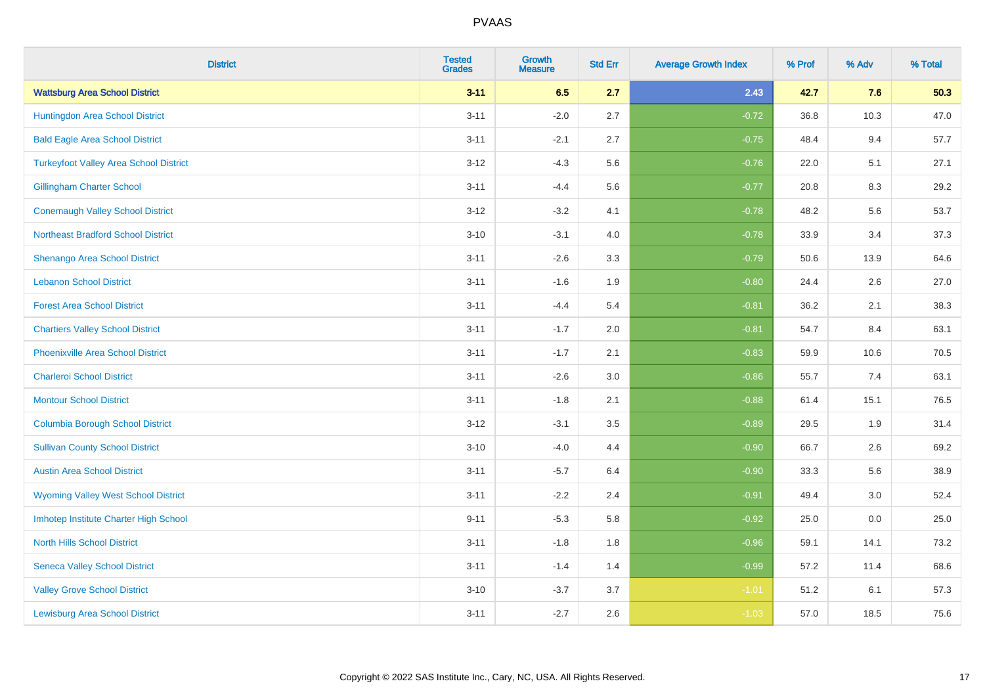| <b>District</b>                               | <b>Tested</b><br><b>Grades</b> | <b>Growth</b><br><b>Measure</b> | <b>Std Err</b> | <b>Average Growth Index</b> | % Prof | % Adv | % Total |
|-----------------------------------------------|--------------------------------|---------------------------------|----------------|-----------------------------|--------|-------|---------|
| <b>Wattsburg Area School District</b>         | $3 - 11$                       | 6.5                             | 2.7            | 2.43                        | 42.7   | 7.6   | 50.3    |
| Huntingdon Area School District               | $3 - 11$                       | $-2.0$                          | 2.7            | $-0.72$                     | 36.8   | 10.3  | 47.0    |
| <b>Bald Eagle Area School District</b>        | $3 - 11$                       | $-2.1$                          | 2.7            | $-0.75$                     | 48.4   | 9.4   | 57.7    |
| <b>Turkeyfoot Valley Area School District</b> | $3-12$                         | $-4.3$                          | 5.6            | $-0.76$                     | 22.0   | 5.1   | 27.1    |
| <b>Gillingham Charter School</b>              | $3 - 11$                       | $-4.4$                          | 5.6            | $-0.77$                     | 20.8   | 8.3   | 29.2    |
| <b>Conemaugh Valley School District</b>       | $3 - 12$                       | $-3.2$                          | 4.1            | $-0.78$                     | 48.2   | 5.6   | 53.7    |
| <b>Northeast Bradford School District</b>     | $3 - 10$                       | $-3.1$                          | 4.0            | $-0.78$                     | 33.9   | 3.4   | 37.3    |
| Shenango Area School District                 | $3 - 11$                       | $-2.6$                          | 3.3            | $-0.79$                     | 50.6   | 13.9  | 64.6    |
| <b>Lebanon School District</b>                | $3 - 11$                       | $-1.6$                          | 1.9            | $-0.80$                     | 24.4   | 2.6   | 27.0    |
| <b>Forest Area School District</b>            | $3 - 11$                       | $-4.4$                          | 5.4            | $-0.81$                     | 36.2   | 2.1   | 38.3    |
| <b>Chartiers Valley School District</b>       | $3 - 11$                       | $-1.7$                          | 2.0            | $-0.81$                     | 54.7   | 8.4   | 63.1    |
| <b>Phoenixville Area School District</b>      | $3 - 11$                       | $-1.7$                          | 2.1            | $-0.83$                     | 59.9   | 10.6  | 70.5    |
| <b>Charleroi School District</b>              | $3 - 11$                       | $-2.6$                          | $3.0\,$        | $-0.86$                     | 55.7   | 7.4   | 63.1    |
| <b>Montour School District</b>                | $3 - 11$                       | $-1.8$                          | 2.1            | $-0.88$                     | 61.4   | 15.1  | 76.5    |
| <b>Columbia Borough School District</b>       | $3 - 12$                       | $-3.1$                          | 3.5            | $-0.89$                     | 29.5   | 1.9   | 31.4    |
| <b>Sullivan County School District</b>        | $3 - 10$                       | $-4.0$                          | 4.4            | $-0.90$                     | 66.7   | 2.6   | 69.2    |
| <b>Austin Area School District</b>            | $3 - 11$                       | $-5.7$                          | 6.4            | $-0.90$                     | 33.3   | 5.6   | 38.9    |
| <b>Wyoming Valley West School District</b>    | $3 - 11$                       | $-2.2$                          | 2.4            | $-0.91$                     | 49.4   | 3.0   | 52.4    |
| Imhotep Institute Charter High School         | $9 - 11$                       | $-5.3$                          | 5.8            | $-0.92$                     | 25.0   | 0.0   | 25.0    |
| <b>North Hills School District</b>            | $3 - 11$                       | $-1.8$                          | 1.8            | $-0.96$                     | 59.1   | 14.1  | 73.2    |
| <b>Seneca Valley School District</b>          | $3 - 11$                       | $-1.4$                          | 1.4            | $-0.99$                     | 57.2   | 11.4  | 68.6    |
| <b>Valley Grove School District</b>           | $3 - 10$                       | $-3.7$                          | 3.7            | $-1.01$                     | 51.2   | 6.1   | 57.3    |
| <b>Lewisburg Area School District</b>         | $3 - 11$                       | $-2.7$                          | 2.6            | $-1.03$                     | 57.0   | 18.5  | 75.6    |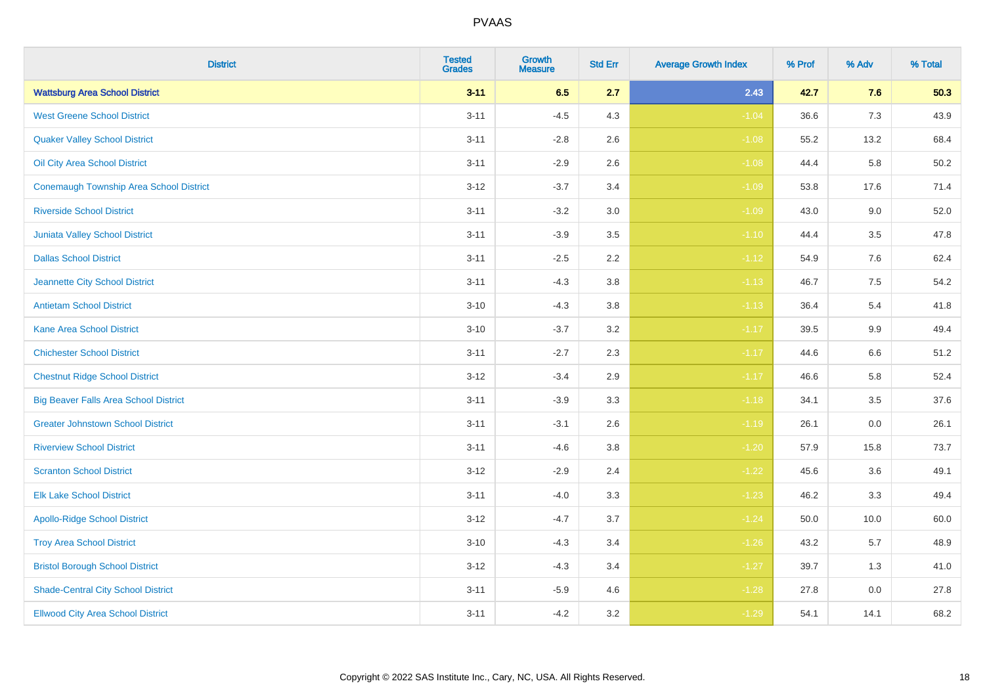| <b>District</b>                                | <b>Tested</b><br><b>Grades</b> | <b>Growth</b><br><b>Measure</b> | <b>Std Err</b> | <b>Average Growth Index</b> | % Prof | % Adv | % Total |
|------------------------------------------------|--------------------------------|---------------------------------|----------------|-----------------------------|--------|-------|---------|
| <b>Wattsburg Area School District</b>          | $3 - 11$                       | 6.5                             | 2.7            | 2.43                        | 42.7   | 7.6   | 50.3    |
| <b>West Greene School District</b>             | $3 - 11$                       | $-4.5$                          | 4.3            | $-1.04$                     | 36.6   | 7.3   | 43.9    |
| <b>Quaker Valley School District</b>           | $3 - 11$                       | $-2.8$                          | 2.6            | $-1.08$                     | 55.2   | 13.2  | 68.4    |
| Oil City Area School District                  | $3 - 11$                       | $-2.9$                          | 2.6            | $-1.08$                     | 44.4   | 5.8   | 50.2    |
| <b>Conemaugh Township Area School District</b> | $3 - 12$                       | $-3.7$                          | 3.4            | $-1.09$                     | 53.8   | 17.6  | 71.4    |
| <b>Riverside School District</b>               | $3 - 11$                       | $-3.2$                          | 3.0            | $-1.09$                     | 43.0   | 9.0   | 52.0    |
| <b>Juniata Valley School District</b>          | $3 - 11$                       | $-3.9$                          | 3.5            | $-1.10$                     | 44.4   | 3.5   | 47.8    |
| <b>Dallas School District</b>                  | $3 - 11$                       | $-2.5$                          | 2.2            | $-1.12$                     | 54.9   | 7.6   | 62.4    |
| Jeannette City School District                 | $3 - 11$                       | $-4.3$                          | 3.8            | $-1.13$                     | 46.7   | 7.5   | 54.2    |
| <b>Antietam School District</b>                | $3 - 10$                       | $-4.3$                          | 3.8            | $-1.13$                     | 36.4   | 5.4   | 41.8    |
| <b>Kane Area School District</b>               | $3 - 10$                       | $-3.7$                          | 3.2            | $-1.17$                     | 39.5   | 9.9   | 49.4    |
| <b>Chichester School District</b>              | $3 - 11$                       | $-2.7$                          | 2.3            | $-1.17$                     | 44.6   | 6.6   | 51.2    |
| <b>Chestnut Ridge School District</b>          | $3 - 12$                       | $-3.4$                          | 2.9            | $-1.17$                     | 46.6   | 5.8   | 52.4    |
| <b>Big Beaver Falls Area School District</b>   | $3 - 11$                       | $-3.9$                          | 3.3            | $-1.18$                     | 34.1   | 3.5   | 37.6    |
| <b>Greater Johnstown School District</b>       | $3 - 11$                       | $-3.1$                          | 2.6            | $-1.19$                     | 26.1   | 0.0   | 26.1    |
| <b>Riverview School District</b>               | $3 - 11$                       | $-4.6$                          | 3.8            | $-1.20$                     | 57.9   | 15.8  | 73.7    |
| <b>Scranton School District</b>                | $3 - 12$                       | $-2.9$                          | 2.4            | $-1.22$                     | 45.6   | 3.6   | 49.1    |
| <b>Elk Lake School District</b>                | $3 - 11$                       | $-4.0$                          | 3.3            | $-1.23$                     | 46.2   | 3.3   | 49.4    |
| <b>Apollo-Ridge School District</b>            | $3 - 12$                       | $-4.7$                          | 3.7            | $-1.24$                     | 50.0   | 10.0  | 60.0    |
| <b>Troy Area School District</b>               | $3 - 10$                       | $-4.3$                          | 3.4            | $-1.26$                     | 43.2   | 5.7   | 48.9    |
| <b>Bristol Borough School District</b>         | $3 - 12$                       | $-4.3$                          | 3.4            | $-1.27$                     | 39.7   | 1.3   | 41.0    |
| <b>Shade-Central City School District</b>      | $3 - 11$                       | $-5.9$                          | 4.6            | $-1.28$                     | 27.8   | 0.0   | 27.8    |
| <b>Ellwood City Area School District</b>       | $3 - 11$                       | $-4.2$                          | 3.2            | $-1.29$                     | 54.1   | 14.1  | 68.2    |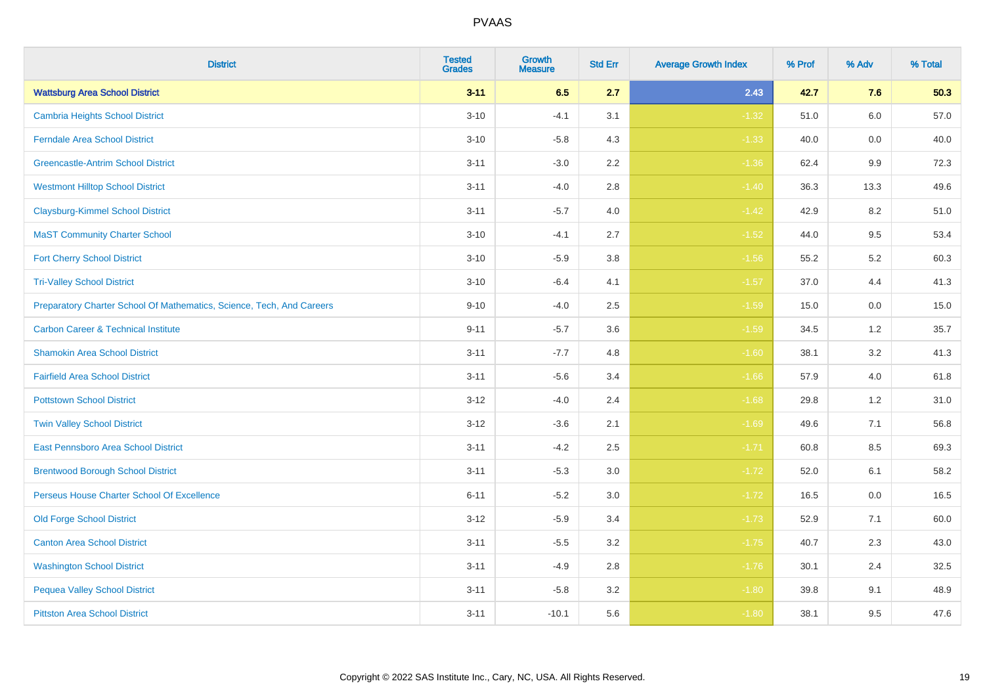| <b>District</b>                                                       | <b>Tested</b><br><b>Grades</b> | <b>Growth</b><br><b>Measure</b> | <b>Std Err</b> | <b>Average Growth Index</b> | % Prof | % Adv   | % Total |
|-----------------------------------------------------------------------|--------------------------------|---------------------------------|----------------|-----------------------------|--------|---------|---------|
| <b>Wattsburg Area School District</b>                                 | $3 - 11$                       | 6.5                             | 2.7            | 2.43                        | 42.7   | 7.6     | 50.3    |
| <b>Cambria Heights School District</b>                                | $3 - 10$                       | $-4.1$                          | 3.1            | $-1.32$                     | 51.0   | $6.0\,$ | 57.0    |
| <b>Ferndale Area School District</b>                                  | $3 - 10$                       | $-5.8$                          | 4.3            | $-1.33$                     | 40.0   | 0.0     | 40.0    |
| <b>Greencastle-Antrim School District</b>                             | $3 - 11$                       | $-3.0$                          | 2.2            | $-1.36$                     | 62.4   | 9.9     | 72.3    |
| <b>Westmont Hilltop School District</b>                               | $3 - 11$                       | $-4.0$                          | 2.8            | $-1.40$                     | 36.3   | 13.3    | 49.6    |
| <b>Claysburg-Kimmel School District</b>                               | $3 - 11$                       | $-5.7$                          | 4.0            | $-1.42$                     | 42.9   | 8.2     | 51.0    |
| <b>MaST Community Charter School</b>                                  | $3 - 10$                       | $-4.1$                          | 2.7            | $-1.52$                     | 44.0   | 9.5     | 53.4    |
| <b>Fort Cherry School District</b>                                    | $3 - 10$                       | $-5.9$                          | 3.8            | $-1.56$                     | 55.2   | 5.2     | 60.3    |
| <b>Tri-Valley School District</b>                                     | $3 - 10$                       | $-6.4$                          | 4.1            | $-1.57$                     | 37.0   | 4.4     | 41.3    |
| Preparatory Charter School Of Mathematics, Science, Tech, And Careers | $9 - 10$                       | $-4.0$                          | 2.5            | $-1.59$                     | 15.0   | 0.0     | 15.0    |
| <b>Carbon Career &amp; Technical Institute</b>                        | $9 - 11$                       | $-5.7$                          | 3.6            | $-1.59$                     | 34.5   | $1.2$   | 35.7    |
| <b>Shamokin Area School District</b>                                  | $3 - 11$                       | $-7.7$                          | 4.8            | $-1.60$                     | 38.1   | 3.2     | 41.3    |
| <b>Fairfield Area School District</b>                                 | $3 - 11$                       | $-5.6$                          | 3.4            | $-1.66$                     | 57.9   | 4.0     | 61.8    |
| <b>Pottstown School District</b>                                      | $3 - 12$                       | $-4.0$                          | 2.4            | $-1.68$                     | 29.8   | 1.2     | 31.0    |
| <b>Twin Valley School District</b>                                    | $3 - 12$                       | $-3.6$                          | 2.1            | $-1.69$                     | 49.6   | 7.1     | 56.8    |
| <b>East Pennsboro Area School District</b>                            | $3 - 11$                       | $-4.2$                          | 2.5            | $-1.71$                     | 60.8   | 8.5     | 69.3    |
| <b>Brentwood Borough School District</b>                              | $3 - 11$                       | $-5.3$                          | 3.0            | $-1.72$                     | 52.0   | 6.1     | 58.2    |
| Perseus House Charter School Of Excellence                            | $6 - 11$                       | $-5.2$                          | 3.0            | $-1.72$                     | 16.5   | 0.0     | 16.5    |
| <b>Old Forge School District</b>                                      | $3 - 12$                       | $-5.9$                          | 3.4            | $-1.73$                     | 52.9   | 7.1     | 60.0    |
| <b>Canton Area School District</b>                                    | $3 - 11$                       | $-5.5$                          | 3.2            | $-1.75$                     | 40.7   | 2.3     | 43.0    |
| <b>Washington School District</b>                                     | $3 - 11$                       | $-4.9$                          | 2.8            | $-1.76$                     | 30.1   | 2.4     | 32.5    |
| <b>Pequea Valley School District</b>                                  | $3 - 11$                       | $-5.8$                          | 3.2            | $-1.80$                     | 39.8   | 9.1     | 48.9    |
| <b>Pittston Area School District</b>                                  | $3 - 11$                       | $-10.1$                         | 5.6            | $-1.80$                     | 38.1   | 9.5     | 47.6    |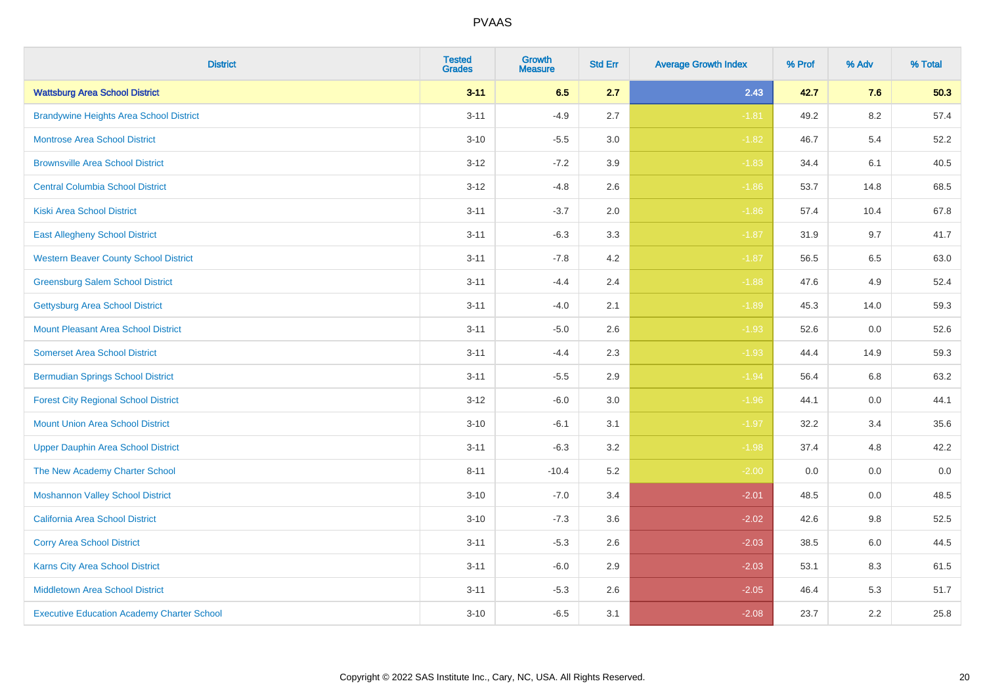| <b>District</b>                                   | <b>Tested</b><br><b>Grades</b> | <b>Growth</b><br><b>Measure</b> | <b>Std Err</b> | <b>Average Growth Index</b> | % Prof | % Adv   | % Total |
|---------------------------------------------------|--------------------------------|---------------------------------|----------------|-----------------------------|--------|---------|---------|
| <b>Wattsburg Area School District</b>             | $3 - 11$                       | 6.5                             | 2.7            | 2.43                        | 42.7   | 7.6     | 50.3    |
| <b>Brandywine Heights Area School District</b>    | $3 - 11$                       | $-4.9$                          | 2.7            | $-1.81$                     | 49.2   | $8.2\,$ | 57.4    |
| <b>Montrose Area School District</b>              | $3 - 10$                       | $-5.5$                          | 3.0            | $-1.82$                     | 46.7   | 5.4     | 52.2    |
| <b>Brownsville Area School District</b>           | $3 - 12$                       | $-7.2$                          | 3.9            | $-1.83$                     | 34.4   | 6.1     | 40.5    |
| <b>Central Columbia School District</b>           | $3 - 12$                       | $-4.8$                          | 2.6            | $-1.86$                     | 53.7   | 14.8    | 68.5    |
| <b>Kiski Area School District</b>                 | $3 - 11$                       | $-3.7$                          | 2.0            | $-1.86$                     | 57.4   | 10.4    | 67.8    |
| <b>East Allegheny School District</b>             | $3 - 11$                       | $-6.3$                          | 3.3            | $-1.87$                     | 31.9   | 9.7     | 41.7    |
| <b>Western Beaver County School District</b>      | $3 - 11$                       | $-7.8$                          | 4.2            | $-1.87$                     | 56.5   | 6.5     | 63.0    |
| <b>Greensburg Salem School District</b>           | $3 - 11$                       | $-4.4$                          | 2.4            | $-1.88$                     | 47.6   | 4.9     | 52.4    |
| <b>Gettysburg Area School District</b>            | $3 - 11$                       | $-4.0$                          | 2.1            | $-1.89$                     | 45.3   | 14.0    | 59.3    |
| <b>Mount Pleasant Area School District</b>        | $3 - 11$                       | $-5.0$                          | 2.6            | $-1.93$                     | 52.6   | 0.0     | 52.6    |
| <b>Somerset Area School District</b>              | $3 - 11$                       | $-4.4$                          | 2.3            | $-1.93$                     | 44.4   | 14.9    | 59.3    |
| <b>Bermudian Springs School District</b>          | $3 - 11$                       | $-5.5$                          | 2.9            | $-1.94$                     | 56.4   | 6.8     | 63.2    |
| <b>Forest City Regional School District</b>       | $3 - 12$                       | $-6.0$                          | 3.0            | $-1.96$                     | 44.1   | 0.0     | 44.1    |
| <b>Mount Union Area School District</b>           | $3 - 10$                       | $-6.1$                          | 3.1            | $-1.97$                     | 32.2   | 3.4     | 35.6    |
| <b>Upper Dauphin Area School District</b>         | $3 - 11$                       | $-6.3$                          | 3.2            | $-1.98$                     | 37.4   | 4.8     | 42.2    |
| The New Academy Charter School                    | $8 - 11$                       | $-10.4$                         | 5.2            | $-2.00$                     | 0.0    | 0.0     | $0.0\,$ |
| <b>Moshannon Valley School District</b>           | $3 - 10$                       | $-7.0$                          | 3.4            | $-2.01$                     | 48.5   | 0.0     | 48.5    |
| <b>California Area School District</b>            | $3 - 10$                       | $-7.3$                          | 3.6            | $-2.02$                     | 42.6   | 9.8     | 52.5    |
| <b>Corry Area School District</b>                 | $3 - 11$                       | $-5.3$                          | 2.6            | $-2.03$                     | 38.5   | 6.0     | 44.5    |
| Karns City Area School District                   | $3 - 11$                       | $-6.0$                          | 2.9            | $-2.03$                     | 53.1   | 8.3     | 61.5    |
| <b>Middletown Area School District</b>            | $3 - 11$                       | $-5.3$                          | 2.6            | $-2.05$                     | 46.4   | 5.3     | 51.7    |
| <b>Executive Education Academy Charter School</b> | $3 - 10$                       | $-6.5$                          | 3.1            | $-2.08$                     | 23.7   | 2.2     | 25.8    |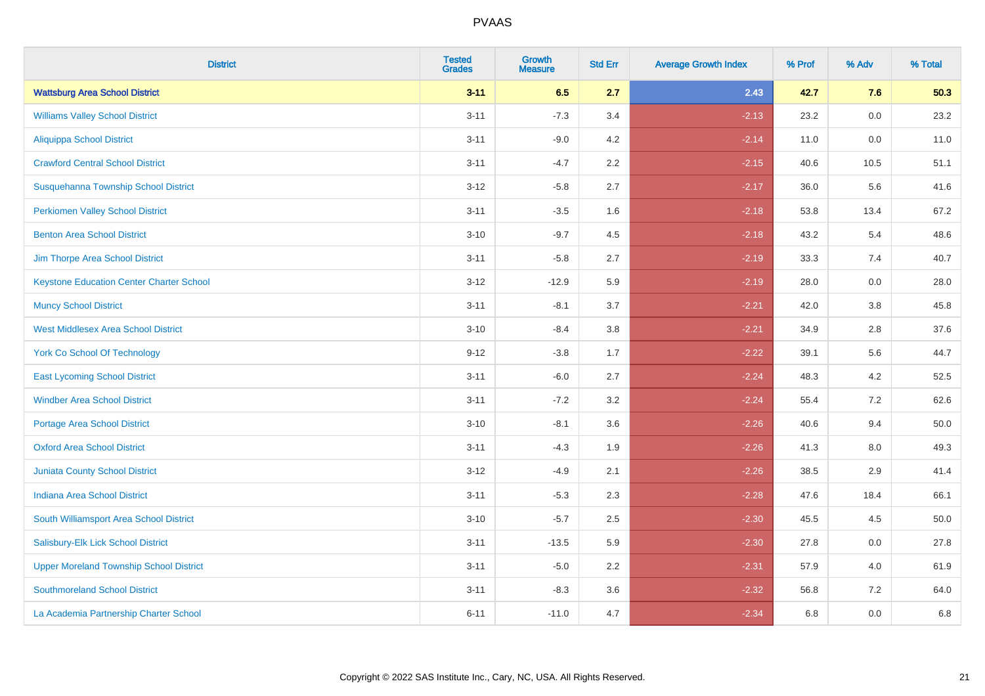| <b>District</b>                                 | <b>Tested</b><br><b>Grades</b> | <b>Growth</b><br><b>Measure</b> | <b>Std Err</b> | <b>Average Growth Index</b> | % Prof | % Adv   | % Total |
|-------------------------------------------------|--------------------------------|---------------------------------|----------------|-----------------------------|--------|---------|---------|
| <b>Wattsburg Area School District</b>           | $3 - 11$                       | 6.5                             | 2.7            | 2.43                        | 42.7   | 7.6     | 50.3    |
| <b>Williams Valley School District</b>          | $3 - 11$                       | $-7.3$                          | 3.4            | $-2.13$                     | 23.2   | 0.0     | 23.2    |
| <b>Aliquippa School District</b>                | $3 - 11$                       | $-9.0$                          | 4.2            | $-2.14$                     | 11.0   | 0.0     | 11.0    |
| <b>Crawford Central School District</b>         | $3 - 11$                       | $-4.7$                          | 2.2            | $-2.15$                     | 40.6   | 10.5    | 51.1    |
| Susquehanna Township School District            | $3 - 12$                       | $-5.8$                          | 2.7            | $-2.17$                     | 36.0   | 5.6     | 41.6    |
| <b>Perkiomen Valley School District</b>         | $3 - 11$                       | $-3.5$                          | 1.6            | $-2.18$                     | 53.8   | 13.4    | 67.2    |
| <b>Benton Area School District</b>              | $3 - 10$                       | $-9.7$                          | 4.5            | $-2.18$                     | 43.2   | 5.4     | 48.6    |
| Jim Thorpe Area School District                 | $3 - 11$                       | $-5.8$                          | 2.7            | $-2.19$                     | 33.3   | 7.4     | 40.7    |
| <b>Keystone Education Center Charter School</b> | $3 - 12$                       | $-12.9$                         | 5.9            | $-2.19$                     | 28.0   | 0.0     | 28.0    |
| <b>Muncy School District</b>                    | $3 - 11$                       | $-8.1$                          | 3.7            | $-2.21$                     | 42.0   | 3.8     | 45.8    |
| <b>West Middlesex Area School District</b>      | $3 - 10$                       | $-8.4$                          | 3.8            | $-2.21$                     | 34.9   | 2.8     | 37.6    |
| <b>York Co School Of Technology</b>             | $9 - 12$                       | $-3.8$                          | 1.7            | $-2.22$                     | 39.1   | 5.6     | 44.7    |
| <b>East Lycoming School District</b>            | $3 - 11$                       | $-6.0$                          | 2.7            | $-2.24$                     | 48.3   | 4.2     | 52.5    |
| <b>Windber Area School District</b>             | $3 - 11$                       | $-7.2$                          | 3.2            | $-2.24$                     | 55.4   | 7.2     | 62.6    |
| <b>Portage Area School District</b>             | $3 - 10$                       | $-8.1$                          | 3.6            | $-2.26$                     | 40.6   | 9.4     | 50.0    |
| <b>Oxford Area School District</b>              | $3 - 11$                       | $-4.3$                          | 1.9            | $-2.26$                     | 41.3   | $8.0\,$ | 49.3    |
| <b>Juniata County School District</b>           | $3 - 12$                       | $-4.9$                          | 2.1            | $-2.26$                     | 38.5   | 2.9     | 41.4    |
| <b>Indiana Area School District</b>             | $3 - 11$                       | $-5.3$                          | 2.3            | $-2.28$                     | 47.6   | 18.4    | 66.1    |
| South Williamsport Area School District         | $3 - 10$                       | $-5.7$                          | 2.5            | $-2.30$                     | 45.5   | 4.5     | 50.0    |
| Salisbury-Elk Lick School District              | $3 - 11$                       | $-13.5$                         | 5.9            | $-2.30$                     | 27.8   | 0.0     | 27.8    |
| <b>Upper Moreland Township School District</b>  | $3 - 11$                       | $-5.0$                          | 2.2            | $-2.31$                     | 57.9   | 4.0     | 61.9    |
| <b>Southmoreland School District</b>            | $3 - 11$                       | $-8.3$                          | 3.6            | $-2.32$                     | 56.8   | 7.2     | 64.0    |
| La Academia Partnership Charter School          | $6 - 11$                       | $-11.0$                         | 4.7            | $-2.34$                     | 6.8    | 0.0     | 6.8     |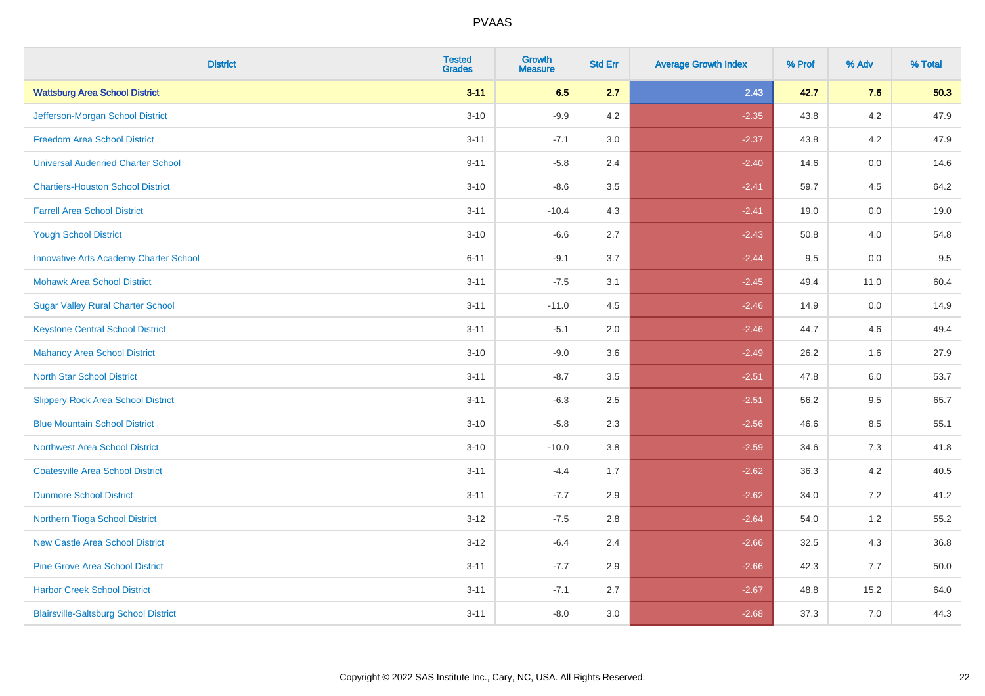| <b>District</b>                               | <b>Tested</b><br><b>Grades</b> | <b>Growth</b><br><b>Measure</b> | <b>Std Err</b> | <b>Average Growth Index</b> | % Prof | % Adv   | % Total |
|-----------------------------------------------|--------------------------------|---------------------------------|----------------|-----------------------------|--------|---------|---------|
| <b>Wattsburg Area School District</b>         | $3 - 11$                       | 6.5                             | 2.7            | 2.43                        | 42.7   | 7.6     | 50.3    |
| Jefferson-Morgan School District              | $3 - 10$                       | $-9.9$                          | 4.2            | $-2.35$                     | 43.8   | 4.2     | 47.9    |
| <b>Freedom Area School District</b>           | $3 - 11$                       | $-7.1$                          | 3.0            | $-2.37$                     | 43.8   | 4.2     | 47.9    |
| <b>Universal Audenried Charter School</b>     | $9 - 11$                       | $-5.8$                          | 2.4            | $-2.40$                     | 14.6   | 0.0     | 14.6    |
| <b>Chartiers-Houston School District</b>      | $3 - 10$                       | $-8.6$                          | 3.5            | $-2.41$                     | 59.7   | 4.5     | 64.2    |
| <b>Farrell Area School District</b>           | $3 - 11$                       | $-10.4$                         | 4.3            | $-2.41$                     | 19.0   | 0.0     | 19.0    |
| <b>Yough School District</b>                  | $3 - 10$                       | $-6.6$                          | 2.7            | $-2.43$                     | 50.8   | 4.0     | 54.8    |
| <b>Innovative Arts Academy Charter School</b> | $6 - 11$                       | $-9.1$                          | 3.7            | $-2.44$                     | 9.5    | 0.0     | 9.5     |
| <b>Mohawk Area School District</b>            | $3 - 11$                       | $-7.5$                          | 3.1            | $-2.45$                     | 49.4   | 11.0    | 60.4    |
| <b>Sugar Valley Rural Charter School</b>      | $3 - 11$                       | $-11.0$                         | 4.5            | $-2.46$                     | 14.9   | 0.0     | 14.9    |
| <b>Keystone Central School District</b>       | $3 - 11$                       | $-5.1$                          | 2.0            | $-2.46$                     | 44.7   | 4.6     | 49.4    |
| <b>Mahanoy Area School District</b>           | $3 - 10$                       | $-9.0$                          | 3.6            | $-2.49$                     | 26.2   | 1.6     | 27.9    |
| <b>North Star School District</b>             | $3 - 11$                       | $-8.7$                          | 3.5            | $-2.51$                     | 47.8   | $6.0\,$ | 53.7    |
| <b>Slippery Rock Area School District</b>     | $3 - 11$                       | $-6.3$                          | 2.5            | $-2.51$                     | 56.2   | 9.5     | 65.7    |
| <b>Blue Mountain School District</b>          | $3 - 10$                       | $-5.8$                          | 2.3            | $-2.56$                     | 46.6   | 8.5     | 55.1    |
| <b>Northwest Area School District</b>         | $3 - 10$                       | $-10.0$                         | 3.8            | $-2.59$                     | 34.6   | $7.3$   | 41.8    |
| <b>Coatesville Area School District</b>       | $3 - 11$                       | $-4.4$                          | 1.7            | $-2.62$                     | 36.3   | 4.2     | 40.5    |
| <b>Dunmore School District</b>                | $3 - 11$                       | $-7.7$                          | 2.9            | $-2.62$                     | 34.0   | 7.2     | 41.2    |
| Northern Tioga School District                | $3 - 12$                       | $-7.5$                          | 2.8            | $-2.64$                     | 54.0   | 1.2     | 55.2    |
| <b>New Castle Area School District</b>        | $3-12$                         | $-6.4$                          | 2.4            | $-2.66$                     | 32.5   | 4.3     | 36.8    |
| <b>Pine Grove Area School District</b>        | $3 - 11$                       | $-7.7$                          | 2.9            | $-2.66$                     | 42.3   | 7.7     | 50.0    |
| <b>Harbor Creek School District</b>           | $3 - 11$                       | $-7.1$                          | 2.7            | $-2.67$                     | 48.8   | 15.2    | 64.0    |
| <b>Blairsville-Saltsburg School District</b>  | $3 - 11$                       | $-8.0$                          | 3.0            | $-2.68$                     | 37.3   | 7.0     | 44.3    |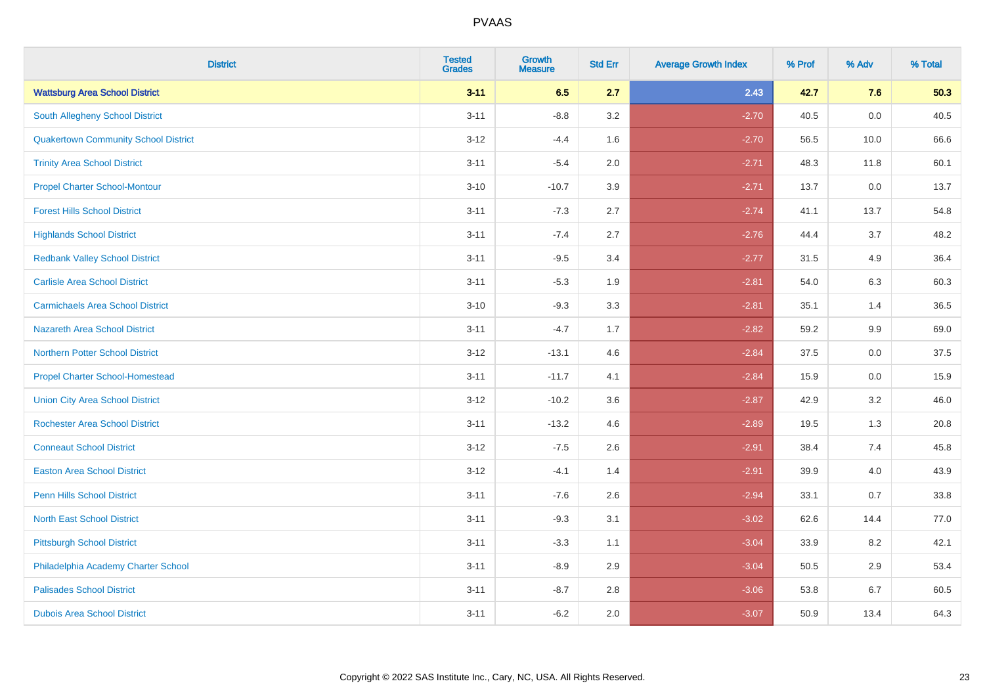| <b>District</b>                             | <b>Tested</b><br><b>Grades</b> | <b>Growth</b><br><b>Measure</b> | <b>Std Err</b> | <b>Average Growth Index</b> | % Prof | % Adv | % Total |
|---------------------------------------------|--------------------------------|---------------------------------|----------------|-----------------------------|--------|-------|---------|
| <b>Wattsburg Area School District</b>       | $3 - 11$                       | 6.5                             | 2.7            | 2.43                        | 42.7   | 7.6   | 50.3    |
| <b>South Allegheny School District</b>      | $3 - 11$                       | $-8.8$                          | 3.2            | $-2.70$                     | 40.5   | 0.0   | 40.5    |
| <b>Quakertown Community School District</b> | $3 - 12$                       | $-4.4$                          | 1.6            | $-2.70$                     | 56.5   | 10.0  | 66.6    |
| <b>Trinity Area School District</b>         | $3 - 11$                       | $-5.4$                          | 2.0            | $-2.71$                     | 48.3   | 11.8  | 60.1    |
| <b>Propel Charter School-Montour</b>        | $3 - 10$                       | $-10.7$                         | 3.9            | $-2.71$                     | 13.7   | 0.0   | 13.7    |
| <b>Forest Hills School District</b>         | $3 - 11$                       | $-7.3$                          | 2.7            | $-2.74$                     | 41.1   | 13.7  | 54.8    |
| <b>Highlands School District</b>            | $3 - 11$                       | $-7.4$                          | 2.7            | $-2.76$                     | 44.4   | 3.7   | 48.2    |
| <b>Redbank Valley School District</b>       | $3 - 11$                       | $-9.5$                          | 3.4            | $-2.77$                     | 31.5   | 4.9   | 36.4    |
| <b>Carlisle Area School District</b>        | $3 - 11$                       | $-5.3$                          | 1.9            | $-2.81$                     | 54.0   | 6.3   | 60.3    |
| <b>Carmichaels Area School District</b>     | $3 - 10$                       | $-9.3$                          | 3.3            | $-2.81$                     | 35.1   | 1.4   | 36.5    |
| <b>Nazareth Area School District</b>        | $3 - 11$                       | $-4.7$                          | 1.7            | $-2.82$                     | 59.2   | 9.9   | 69.0    |
| <b>Northern Potter School District</b>      | $3 - 12$                       | $-13.1$                         | 4.6            | $-2.84$                     | 37.5   | 0.0   | 37.5    |
| <b>Propel Charter School-Homestead</b>      | $3 - 11$                       | $-11.7$                         | 4.1            | $-2.84$                     | 15.9   | 0.0   | 15.9    |
| <b>Union City Area School District</b>      | $3 - 12$                       | $-10.2$                         | 3.6            | $-2.87$                     | 42.9   | 3.2   | 46.0    |
| <b>Rochester Area School District</b>       | $3 - 11$                       | $-13.2$                         | 4.6            | $-2.89$                     | 19.5   | 1.3   | 20.8    |
| <b>Conneaut School District</b>             | $3 - 12$                       | $-7.5$                          | 2.6            | $-2.91$                     | 38.4   | 7.4   | 45.8    |
| <b>Easton Area School District</b>          | $3-12$                         | $-4.1$                          | 1.4            | $-2.91$                     | 39.9   | 4.0   | 43.9    |
| <b>Penn Hills School District</b>           | $3 - 11$                       | $-7.6$                          | 2.6            | $-2.94$                     | 33.1   | 0.7   | 33.8    |
| <b>North East School District</b>           | $3 - 11$                       | $-9.3$                          | 3.1            | $-3.02$                     | 62.6   | 14.4  | 77.0    |
| <b>Pittsburgh School District</b>           | $3 - 11$                       | $-3.3$                          | 1.1            | $-3.04$                     | 33.9   | 8.2   | 42.1    |
| Philadelphia Academy Charter School         | $3 - 11$                       | $-8.9$                          | 2.9            | $-3.04$                     | 50.5   | 2.9   | 53.4    |
| <b>Palisades School District</b>            | $3 - 11$                       | $-8.7$                          | 2.8            | $-3.06$                     | 53.8   | 6.7   | 60.5    |
| <b>Dubois Area School District</b>          | $3 - 11$                       | $-6.2$                          | 2.0            | $-3.07$                     | 50.9   | 13.4  | 64.3    |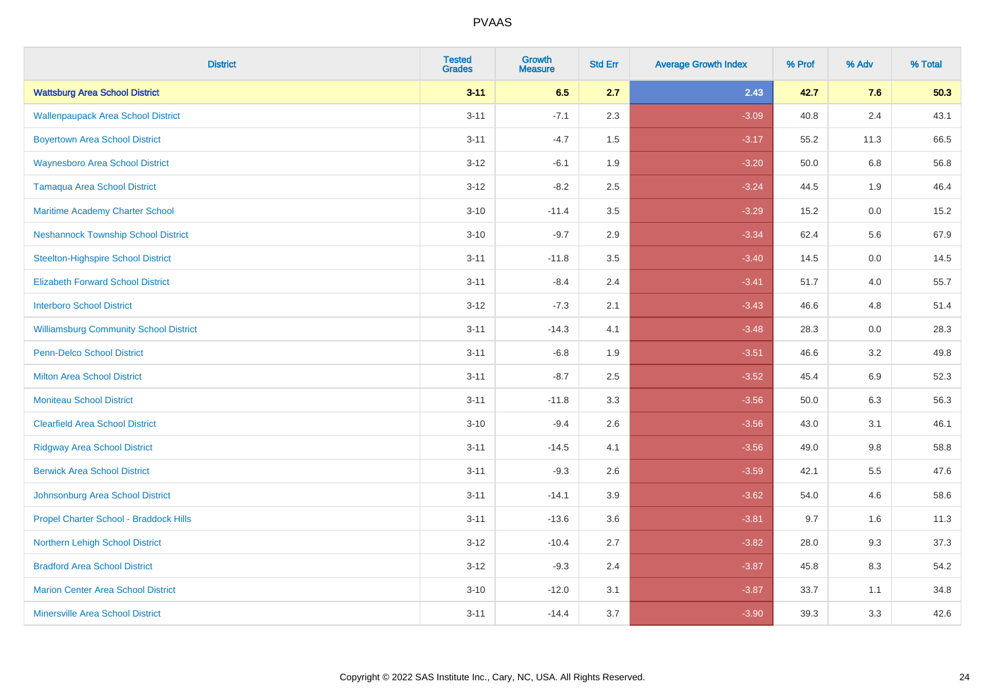| <b>District</b>                               | <b>Tested</b><br><b>Grades</b> | <b>Growth</b><br><b>Measure</b> | <b>Std Err</b> | <b>Average Growth Index</b> | % Prof | % Adv   | % Total |
|-----------------------------------------------|--------------------------------|---------------------------------|----------------|-----------------------------|--------|---------|---------|
| <b>Wattsburg Area School District</b>         | $3 - 11$                       | 6.5                             | 2.7            | 2.43                        | 42.7   | 7.6     | 50.3    |
| <b>Wallenpaupack Area School District</b>     | $3 - 11$                       | $-7.1$                          | 2.3            | $-3.09$                     | 40.8   | 2.4     | 43.1    |
| <b>Boyertown Area School District</b>         | $3 - 11$                       | $-4.7$                          | 1.5            | $-3.17$                     | 55.2   | 11.3    | 66.5    |
| <b>Waynesboro Area School District</b>        | $3 - 12$                       | $-6.1$                          | 1.9            | $-3.20$                     | 50.0   | 6.8     | 56.8    |
| <b>Tamaqua Area School District</b>           | $3 - 12$                       | $-8.2$                          | 2.5            | $-3.24$                     | 44.5   | 1.9     | 46.4    |
| Maritime Academy Charter School               | $3 - 10$                       | $-11.4$                         | 3.5            | $-3.29$                     | 15.2   | 0.0     | 15.2    |
| <b>Neshannock Township School District</b>    | $3 - 10$                       | $-9.7$                          | 2.9            | $-3.34$                     | 62.4   | 5.6     | 67.9    |
| <b>Steelton-Highspire School District</b>     | $3 - 11$                       | $-11.8$                         | 3.5            | $-3.40$                     | 14.5   | 0.0     | 14.5    |
| <b>Elizabeth Forward School District</b>      | $3 - 11$                       | $-8.4$                          | 2.4            | $-3.41$                     | 51.7   | 4.0     | 55.7    |
| <b>Interboro School District</b>              | $3 - 12$                       | $-7.3$                          | 2.1            | $-3.43$                     | 46.6   | 4.8     | 51.4    |
| <b>Williamsburg Community School District</b> | $3 - 11$                       | $-14.3$                         | 4.1            | $-3.48$                     | 28.3   | 0.0     | 28.3    |
| <b>Penn-Delco School District</b>             | $3 - 11$                       | $-6.8$                          | 1.9            | $-3.51$                     | 46.6   | 3.2     | 49.8    |
| <b>Milton Area School District</b>            | $3 - 11$                       | $-8.7$                          | 2.5            | $-3.52$                     | 45.4   | 6.9     | 52.3    |
| <b>Moniteau School District</b>               | $3 - 11$                       | $-11.8$                         | 3.3            | $-3.56$                     | 50.0   | 6.3     | 56.3    |
| <b>Clearfield Area School District</b>        | $3 - 10$                       | $-9.4$                          | 2.6            | $-3.56$                     | 43.0   | 3.1     | 46.1    |
| <b>Ridgway Area School District</b>           | $3 - 11$                       | $-14.5$                         | 4.1            | $-3.56$                     | 49.0   | $9.8\,$ | 58.8    |
| <b>Berwick Area School District</b>           | $3 - 11$                       | $-9.3$                          | 2.6            | $-3.59$                     | 42.1   | 5.5     | 47.6    |
| Johnsonburg Area School District              | $3 - 11$                       | $-14.1$                         | 3.9            | $-3.62$                     | 54.0   | 4.6     | 58.6    |
| Propel Charter School - Braddock Hills        | $3 - 11$                       | $-13.6$                         | 3.6            | $-3.81$                     | 9.7    | 1.6     | 11.3    |
| Northern Lehigh School District               | $3 - 12$                       | $-10.4$                         | 2.7            | $-3.82$                     | 28.0   | 9.3     | 37.3    |
| <b>Bradford Area School District</b>          | $3 - 12$                       | $-9.3$                          | 2.4            | $-3.87$                     | 45.8   | 8.3     | 54.2    |
| <b>Marion Center Area School District</b>     | $3 - 10$                       | $-12.0$                         | 3.1            | $-3.87$                     | 33.7   | 1.1     | 34.8    |
| <b>Minersville Area School District</b>       | $3 - 11$                       | $-14.4$                         | 3.7            | $-3.90$                     | 39.3   | 3.3     | 42.6    |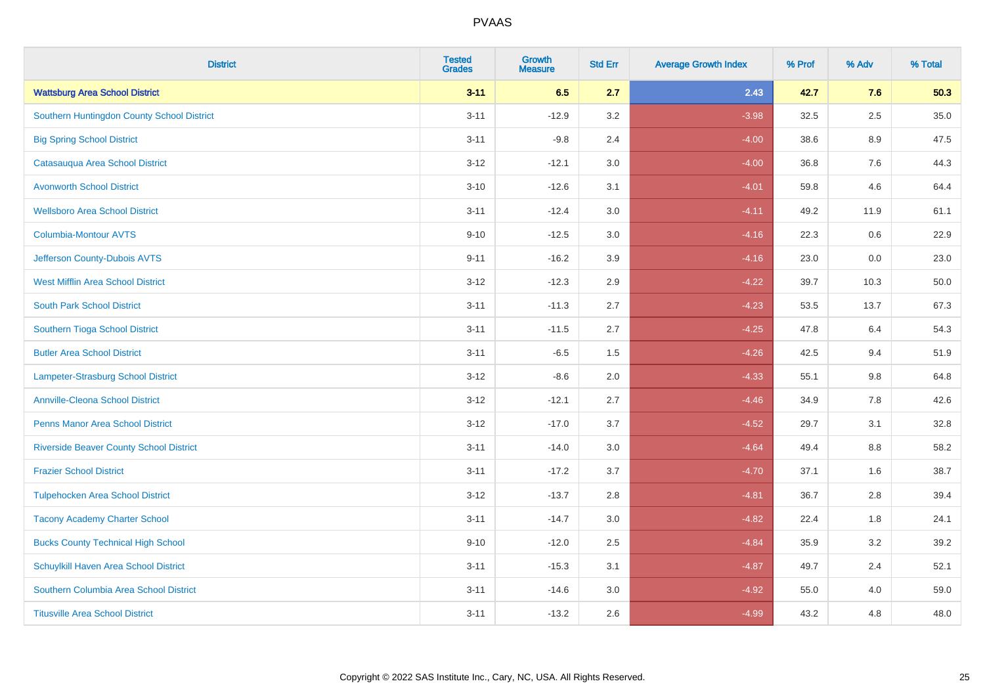| <b>District</b>                                | <b>Tested</b><br><b>Grades</b> | <b>Growth</b><br><b>Measure</b> | <b>Std Err</b> | <b>Average Growth Index</b> | % Prof | % Adv   | % Total |
|------------------------------------------------|--------------------------------|---------------------------------|----------------|-----------------------------|--------|---------|---------|
| <b>Wattsburg Area School District</b>          | $3 - 11$                       | 6.5                             | 2.7            | 2.43                        | 42.7   | 7.6     | 50.3    |
| Southern Huntingdon County School District     | $3 - 11$                       | $-12.9$                         | 3.2            | $-3.98$                     | 32.5   | $2.5\,$ | 35.0    |
| <b>Big Spring School District</b>              | $3 - 11$                       | $-9.8$                          | 2.4            | $-4.00$                     | 38.6   | 8.9     | 47.5    |
| Catasauqua Area School District                | $3 - 12$                       | $-12.1$                         | 3.0            | $-4.00$                     | 36.8   | 7.6     | 44.3    |
| <b>Avonworth School District</b>               | $3 - 10$                       | $-12.6$                         | 3.1            | $-4.01$                     | 59.8   | 4.6     | 64.4    |
| <b>Wellsboro Area School District</b>          | $3 - 11$                       | $-12.4$                         | 3.0            | $-4.11$                     | 49.2   | 11.9    | 61.1    |
| Columbia-Montour AVTS                          | $9 - 10$                       | $-12.5$                         | 3.0            | $-4.16$                     | 22.3   | 0.6     | 22.9    |
| Jefferson County-Dubois AVTS                   | $9 - 11$                       | $-16.2$                         | 3.9            | $-4.16$                     | 23.0   | 0.0     | 23.0    |
| <b>West Mifflin Area School District</b>       | $3 - 12$                       | $-12.3$                         | 2.9            | $-4.22$                     | 39.7   | 10.3    | 50.0    |
| <b>South Park School District</b>              | $3 - 11$                       | $-11.3$                         | 2.7            | $-4.23$                     | 53.5   | 13.7    | 67.3    |
| Southern Tioga School District                 | $3 - 11$                       | $-11.5$                         | 2.7            | $-4.25$                     | 47.8   | 6.4     | 54.3    |
| <b>Butler Area School District</b>             | $3 - 11$                       | $-6.5$                          | 1.5            | $-4.26$                     | 42.5   | 9.4     | 51.9    |
| Lampeter-Strasburg School District             | $3 - 12$                       | $-8.6$                          | 2.0            | $-4.33$                     | 55.1   | $9.8\,$ | 64.8    |
| <b>Annville-Cleona School District</b>         | $3 - 12$                       | $-12.1$                         | 2.7            | $-4.46$                     | 34.9   | $7.8\,$ | 42.6    |
| <b>Penns Manor Area School District</b>        | $3 - 12$                       | $-17.0$                         | 3.7            | $-4.52$                     | 29.7   | 3.1     | 32.8    |
| <b>Riverside Beaver County School District</b> | $3 - 11$                       | $-14.0$                         | 3.0            | $-4.64$                     | 49.4   | 8.8     | 58.2    |
| <b>Frazier School District</b>                 | $3 - 11$                       | $-17.2$                         | 3.7            | $-4.70$                     | 37.1   | 1.6     | 38.7    |
| <b>Tulpehocken Area School District</b>        | $3 - 12$                       | $-13.7$                         | 2.8            | $-4.81$                     | 36.7   | 2.8     | 39.4    |
| <b>Tacony Academy Charter School</b>           | $3 - 11$                       | $-14.7$                         | $3.0\,$        | $-4.82$                     | 22.4   | 1.8     | 24.1    |
| <b>Bucks County Technical High School</b>      | $9 - 10$                       | $-12.0$                         | 2.5            | $-4.84$                     | 35.9   | 3.2     | 39.2    |
| Schuylkill Haven Area School District          | $3 - 11$                       | $-15.3$                         | 3.1            | $-4.87$                     | 49.7   | 2.4     | 52.1    |
| Southern Columbia Area School District         | $3 - 11$                       | $-14.6$                         | 3.0            | $-4.92$                     | 55.0   | 4.0     | 59.0    |
| <b>Titusville Area School District</b>         | $3 - 11$                       | $-13.2$                         | 2.6            | $-4.99$                     | 43.2   | 4.8     | 48.0    |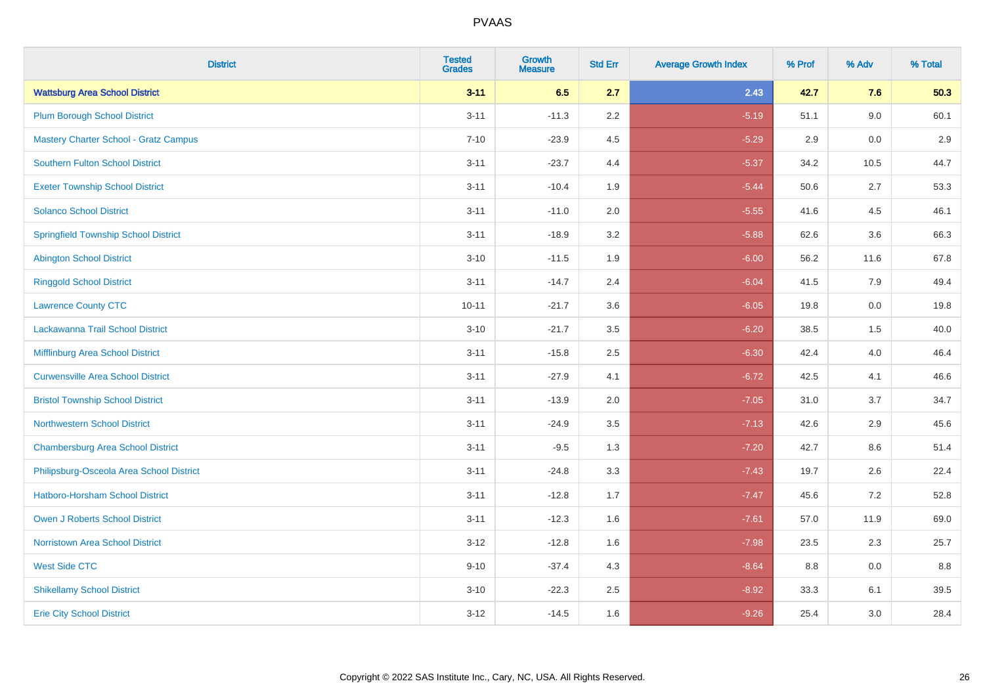| <b>District</b>                              | <b>Tested</b><br><b>Grades</b> | <b>Growth</b><br><b>Measure</b> | <b>Std Err</b> | <b>Average Growth Index</b> | % Prof | % Adv | % Total |
|----------------------------------------------|--------------------------------|---------------------------------|----------------|-----------------------------|--------|-------|---------|
| <b>Wattsburg Area School District</b>        | $3 - 11$                       | 6.5                             | 2.7            | 2.43                        | 42.7   | 7.6   | 50.3    |
| <b>Plum Borough School District</b>          | $3 - 11$                       | $-11.3$                         | 2.2            | $-5.19$                     | 51.1   | 9.0   | 60.1    |
| <b>Mastery Charter School - Gratz Campus</b> | $7 - 10$                       | $-23.9$                         | 4.5            | $-5.29$                     | 2.9    | 0.0   | 2.9     |
| Southern Fulton School District              | $3 - 11$                       | $-23.7$                         | 4.4            | $-5.37$                     | 34.2   | 10.5  | 44.7    |
| <b>Exeter Township School District</b>       | $3 - 11$                       | $-10.4$                         | 1.9            | $-5.44$                     | 50.6   | 2.7   | 53.3    |
| <b>Solanco School District</b>               | $3 - 11$                       | $-11.0$                         | 2.0            | $-5.55$                     | 41.6   | 4.5   | 46.1    |
| <b>Springfield Township School District</b>  | $3 - 11$                       | $-18.9$                         | 3.2            | $-5.88$                     | 62.6   | 3.6   | 66.3    |
| <b>Abington School District</b>              | $3 - 10$                       | $-11.5$                         | 1.9            | $-6.00$                     | 56.2   | 11.6  | 67.8    |
| <b>Ringgold School District</b>              | $3 - 11$                       | $-14.7$                         | 2.4            | $-6.04$                     | 41.5   | 7.9   | 49.4    |
| <b>Lawrence County CTC</b>                   | $10 - 11$                      | $-21.7$                         | 3.6            | $-6.05$                     | 19.8   | 0.0   | 19.8    |
| Lackawanna Trail School District             | $3 - 10$                       | $-21.7$                         | 3.5            | $-6.20$                     | 38.5   | 1.5   | 40.0    |
| Mifflinburg Area School District             | $3 - 11$                       | $-15.8$                         | 2.5            | $-6.30$                     | 42.4   | 4.0   | 46.4    |
| <b>Curwensville Area School District</b>     | $3 - 11$                       | $-27.9$                         | 4.1            | $-6.72$                     | 42.5   | 4.1   | 46.6    |
| <b>Bristol Township School District</b>      | $3 - 11$                       | $-13.9$                         | 2.0            | $-7.05$                     | 31.0   | 3.7   | 34.7    |
| <b>Northwestern School District</b>          | $3 - 11$                       | $-24.9$                         | 3.5            | $-7.13$                     | 42.6   | 2.9   | 45.6    |
| <b>Chambersburg Area School District</b>     | $3 - 11$                       | $-9.5$                          | 1.3            | $-7.20$                     | 42.7   | 8.6   | 51.4    |
| Philipsburg-Osceola Area School District     | $3 - 11$                       | $-24.8$                         | 3.3            | $-7.43$                     | 19.7   | 2.6   | 22.4    |
| Hatboro-Horsham School District              | $3 - 11$                       | $-12.8$                         | 1.7            | $-7.47$                     | 45.6   | 7.2   | 52.8    |
| <b>Owen J Roberts School District</b>        | $3 - 11$                       | $-12.3$                         | 1.6            | $-7.61$                     | 57.0   | 11.9  | 69.0    |
| <b>Norristown Area School District</b>       | $3 - 12$                       | $-12.8$                         | 1.6            | $-7.98$                     | 23.5   | 2.3   | 25.7    |
| <b>West Side CTC</b>                         | $9 - 10$                       | $-37.4$                         | 4.3            | $-8.64$                     | 8.8    | 0.0   | 8.8     |
| <b>Shikellamy School District</b>            | $3 - 10$                       | $-22.3$                         | 2.5            | $-8.92$                     | 33.3   | 6.1   | 39.5    |
| <b>Erie City School District</b>             | $3 - 12$                       | $-14.5$                         | 1.6            | $-9.26$                     | 25.4   | 3.0   | 28.4    |